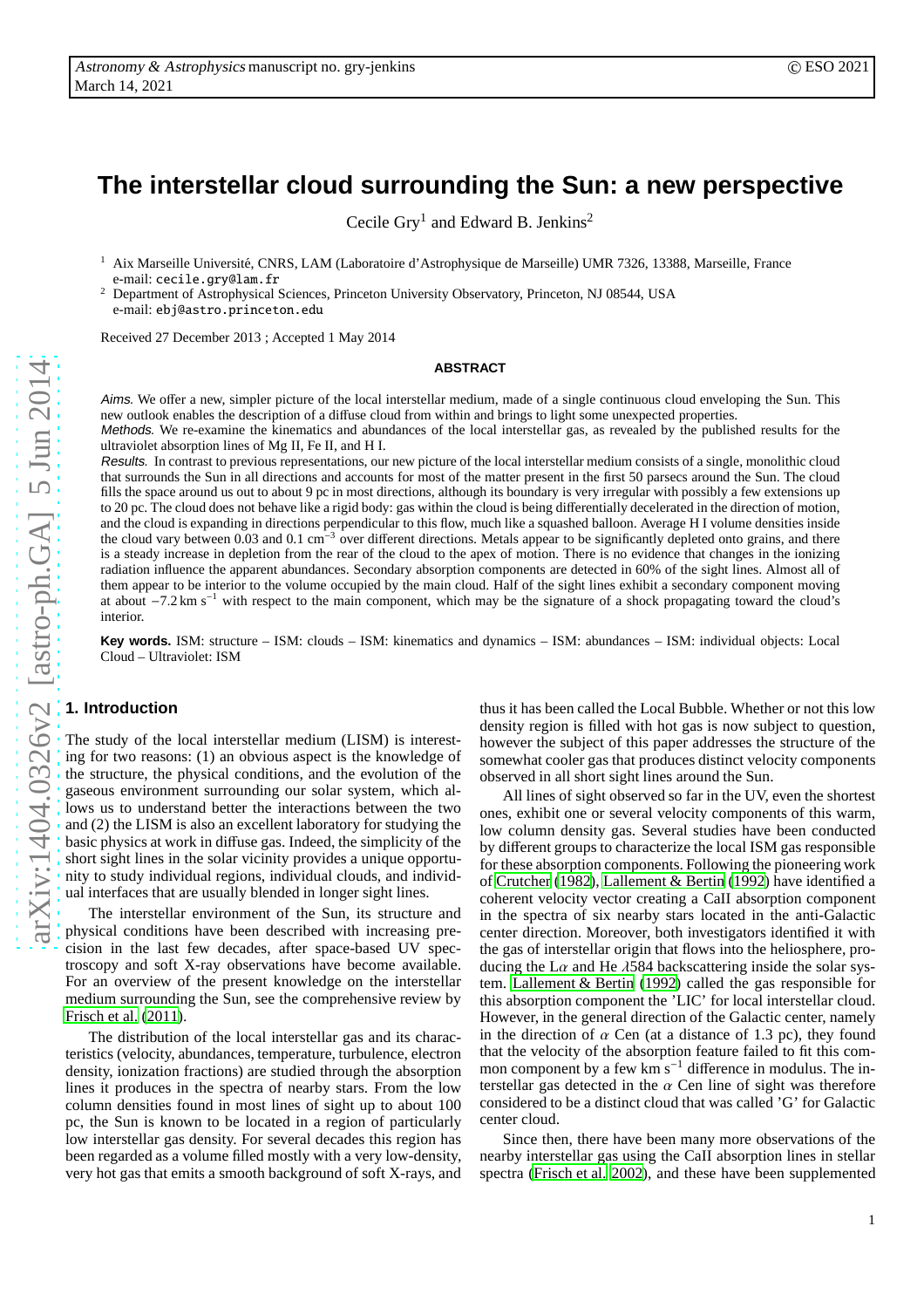# **The interstellar cloud surrounding the Sun: a new perspective**

Cecile Gry<sup>1</sup> and Edward B. Jenkins<sup>2</sup>

Aix Marseille Université, CNRS, LAM (Laboratoire d'Astrophysique de Marseille) UMR 7326, 13388, Marseille, France e-mail: cecile.gry@lam.fr

<sup>2</sup> Department of Astrophysical Sciences, Princeton University Observatory, Princeton, NJ 08544, USA e-mail: ebj@astro.princeton.edu

Received 27 December 2013 ; Accepted 1 May 2014

## **ABSTRACT**

Aims. We offer a new, simpler picture of the local interstellar medium, made of a single continuous cloud enveloping the Sun. This new outlook enables the description of a diffuse cloud from within and brings to light some unexpected properties.

Methods. We re-examine the kinematics and abundances of the local interstellar gas, as revealed by the published results for the ultraviolet absorption lines of Mg II, Fe II, and H I.

Results. In contrast to previous representations, our new picture of the local interstellar medium consists of a single, monolithic cloud that surrounds the Sun in all directions and accounts for most of the matter present in the first 50 parsecs around the Sun. The cloud fills the space around us out to about 9 pc in most directions, although its boundary is very irregular with possibly a few extensions up to 20 pc. The cloud does not behave like a rigid body: gas within the cloud is being differentially decelerated in the direction of motion, and the cloud is expanding in directions perpendicular to this flow, much like a squashed balloon. Average H I volume densities inside the cloud vary between 0.03 and 0.1 cm<sup>−</sup><sup>3</sup> over different directions. Metals appear to be significantly depleted onto grains, and there is a steady increase in depletion from the rear of the cloud to the apex of motion. There is no evidence that changes in the ionizing radiation influence the apparent abundances. Secondary absorption components are detected in 60% of the sight lines. Almost all of them appear to be interior to the volume occupied by the main cloud. Half of the sight lines exhibit a secondary component moving at about  $-7.2 \text{ km s}^{-1}$  with respect to the main component, which may be the signature of a shock propagating toward the cloud's interior.

**Key words.** ISM: structure – ISM: clouds – ISM: kinematics and dynamics – ISM: abundances – ISM: individual objects: Local Cloud – Ultraviolet: ISM

# **1. Introduction**

The study of the local interstellar medium (LISM) is interesting for two reasons: (1) an obvious aspect is the knowledge of the structure, the physical conditions, and the evolution of the gaseous environment surrounding our solar system, which allows us to understand better the interactions between the two and (2) the LISM is also an excellent laboratory for studying the basic physics at work in diffuse gas. Indeed, the simplicity of the short sight lines in the solar vicinity provides a unique opportunity to study individual regions, individual clouds, and individual interfaces that are usually blended in longer sight lines.

The interstellar environment of the Sun, its structure and physical conditions have been described with increasing precision in the last few decades, after space-based UV spectroscopy and soft X-ray observations have become available. For an overview of the present knowledge on the interstellar medium surrounding the Sun, see the comprehensive review by [Frisch et al.](#page-15-0) [\(2011\)](#page-15-0).

The distribution of the local interstellar gas and its characteristics (velocity, abundances, temperature, turbulence, electron density, ionization fractions) are studied through the absorption lines it produces in the spectra of nearby stars. From the low column densities found in most lines of sight up to about 100 pc, the Sun is known to be located in a region of particularly low interstellar gas density. For several decades this region has been regarded as a volume filled mostly with a very low-density, very hot gas that emits a smooth background of soft X-rays, and thus it has been called the Local Bubble. Whether or not this low density region is filled with hot gas is now subject to question, however the subject of this paper addresses the structure of the somewhat cooler gas that produces distinct velocity components observed in all short sight lines around the Sun.

All lines of sight observed so far in the UV, even the shortest ones, exhibit one or several velocity components of this warm, low column density gas. Several studies have been conducted by different groups to characterize the local ISM gas responsible for these absorption components. Following the pioneering work of [Crutcher \(1982\)](#page-15-1), [Lallement & Bertin \(1992\)](#page-15-2) have identified a coherent velocity vector creating a CaII absorption component in the spectra of six nearby stars located in the anti-Galactic center direction. Moreover, both investigators identified it with the gas of interstellar origin that flows into the heliosphere, producing the L $\alpha$  and He  $\lambda$ 584 backscattering inside the solar system. [Lallement & Bertin \(1992](#page-15-2)) called the gas responsible for this absorption component the 'LIC' for local interstellar cloud. However, in the general direction of the Galactic center, namely in the direction of  $\alpha$  Cen (at a distance of 1.3 pc), they found that the velocity of the absorption feature failed to fit this common component by a few km s<sup>-1</sup> difference in modulus. The interstellar gas detected in the  $\alpha$  Cen line of sight was therefore considered to be a distinct cloud that was called 'G' for Galactic center cloud.

Since then, there have been many more observations of the nearby interstellar gas using the CaII absorption lines in stellar spectra [\(Frisch et al. 2002\)](#page-15-3), and these have been supplemented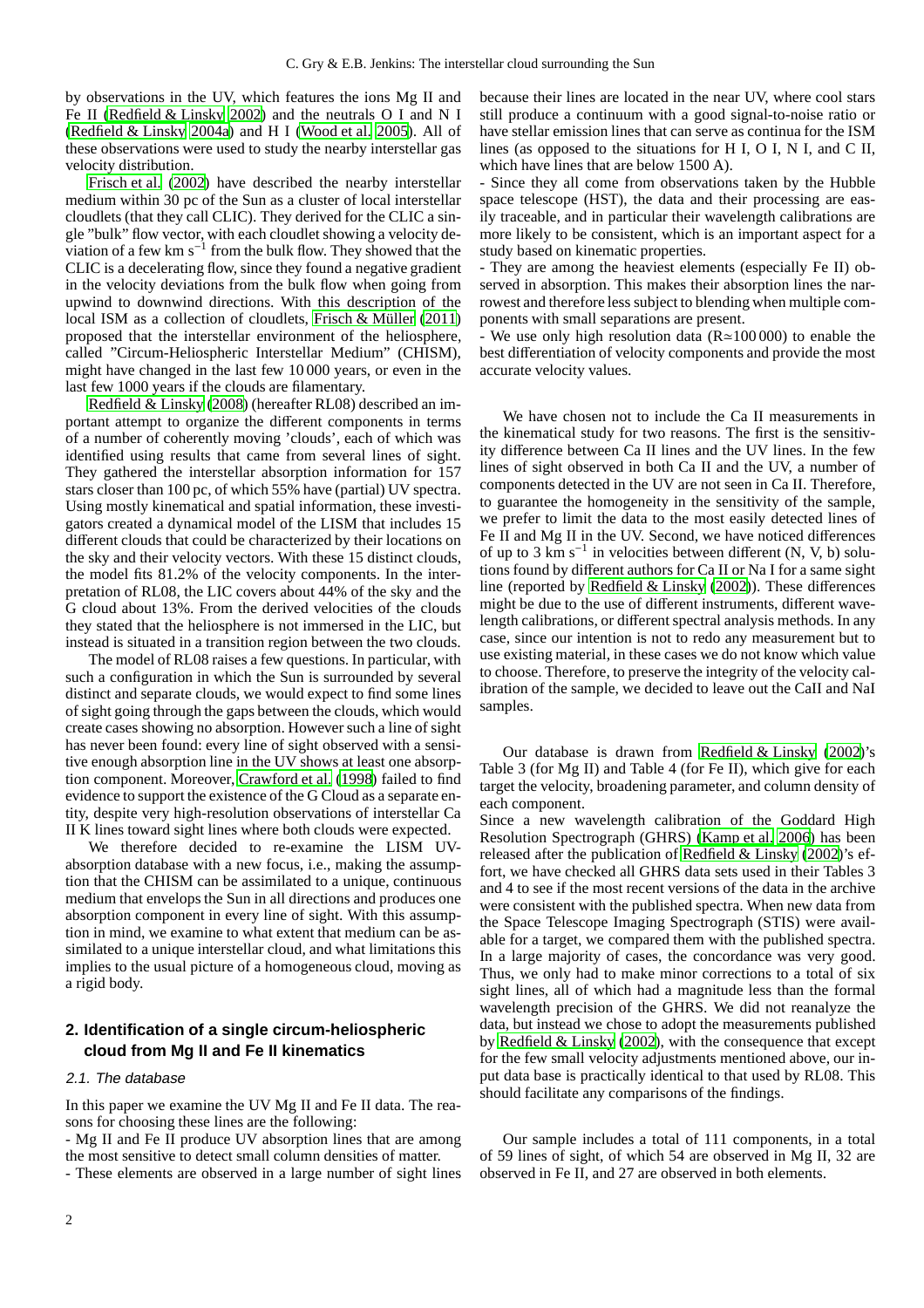by observations in the UV, which features the ions Mg II and Fe II [\(Redfield & Linsky 2002\)](#page-15-4) and the neutrals O I and N I [\(Redfield & Linsky 2004a\)](#page-15-5) and H I [\(Wood et al. 2005\)](#page-16-0). All of these observations were used to study the nearby interstellar gas velocity distribution.

[Frisch et al.](#page-15-3) [\(2002\)](#page-15-3) have described the nearby interstellar medium within 30 pc of the Sun as a cluster of local interstellar cloudlets (that they call CLIC). They derived for the CLIC a single "bulk" flow vector, with each cloudlet showing a velocity deviation of a few km s<sup> $-1$ </sup> from the bulk flow. They showed that the CLIC is a decelerating flow, since they found a negative gradient in the velocity deviations from the bulk flow when going from upwind to downwind directions. With this description of the local ISM as a collection of cloudlets, Frisch & Müller [\(2011\)](#page-15-6) proposed that the interstellar environment of the heliosphere, called "Circum-Heliospheric Interstellar Medium" (CHISM), might have changed in the last few 10 000 years, or even in the last few 1000 years if the clouds are filamentary.

[Redfield & Linsky](#page-15-7) [\(2008\)](#page-15-7) (hereafter RL08) described an important attempt to organize the different components in terms of a number of coherently moving 'clouds', each of which was identified using results that came from several lines of sight. They gathered the interstellar absorption information for 157 stars closer than 100 pc, of which 55% have (partial) UV spectra. Using mostly kinematical and spatial information, these investigators created a dynamical model of the LISM that includes 15 different clouds that could be characterized by their locations on the sky and their velocity vectors. With these 15 distinct clouds, the model fits 81.2% of the velocity components. In the interpretation of RL08, the LIC covers about 44% of the sky and the G cloud about 13%. From the derived velocities of the clouds they stated that the heliosphere is not immersed in the LIC, but instead is situated in a transition region between the two clouds.

The model of RL08 raises a few questions. In particular, with such a configuration in which the Sun is surrounded by several distinct and separate clouds, we would expect to find some lines of sight going through the gaps between the clouds, which would create cases showing no absorption. However such a line of sight has never been found: every line of sight observed with a sensitive enough absorption line in the UV shows at least one absorption component. Moreover, [Crawford et al.](#page-15-8) [\(1998\)](#page-15-8) failed to find evidence to support the existence of the G Cloud as a separate entity, despite very high-resolution observations of interstellar Ca II K lines toward sight lines where both clouds were expected.

We therefore decided to re-examine the LISM UVabsorption database with a new focus, i.e., making the assumption that the CHISM can be assimilated to a unique, continuous medium that envelops the Sun in all directions and produces one absorption component in every line of sight. With this assumption in mind, we examine to what extent that medium can be assimilated to a unique interstellar cloud, and what limitations this implies to the usual picture of a homogeneous cloud, moving as a rigid body.

# **2. Identification of a single circum-heliospheric cloud from Mg II and Fe II kinematics**

# 2.1. The database

In this paper we examine the UV Mg II and Fe II data. The reasons for choosing these lines are the following:

- Mg II and Fe II produce UV absorption lines that are among the most sensitive to detect small column densities of matter.

- These elements are observed in a large number of sight lines

because their lines are located in the near UV, where cool stars still produce a continuum with a good signal-to-noise ratio or have stellar emission lines that can serve as continua for the ISM lines (as opposed to the situations for H I, O I, N I, and C II, which have lines that are below 1500 A).

- Since they all come from observations taken by the Hubble space telescope (HST), the data and their processing are easily traceable, and in particular their wavelength calibrations are more likely to be consistent, which is an important aspect for a study based on kinematic properties.

- They are among the heaviest elements (especially Fe II) observed in absorption. This makes their absorption lines the narrowest and therefore less subject to blending when multiple components with small separations are present.

- We use only high resolution data (R≃100 000) to enable the best differentiation of velocity components and provide the most accurate velocity values.

We have chosen not to include the Ca II measurements in the kinematical study for two reasons. The first is the sensitivity difference between Ca II lines and the UV lines. In the few lines of sight observed in both Ca II and the UV, a number of components detected in the UV are not seen in Ca II. Therefore, to guarantee the homogeneity in the sensitivity of the sample, we prefer to limit the data to the most easily detected lines of Fe II and Mg II in the UV. Second, we have noticed differences of up to 3  $km s^{-1}$  in velocities between different (N, V, b) solutions found by different authors for Ca II or Na I for a same sight line (reported by [Redfield & Linsky](#page-15-4) [\(2002\)](#page-15-4)). These differences might be due to the use of different instruments, different wavelength calibrations, or different spectral analysis methods. In any case, since our intention is not to redo any measurement but to use existing material, in these cases we do not know which value to choose. Therefore, to preserve the integrity of the velocity calibration of the sample, we decided to leave out the CaII and NaI samples.

Our database is drawn from [Redfield & Linsky \(2002\)](#page-15-4)'s Table 3 (for Mg II) and Table 4 (for Fe II), which give for each target the velocity, broadening parameter, and column density of each component.

Since a new wavelength calibration of the Goddard High Resolution Spectrograph (GHRS) [\(Kamp et al. 2006\)](#page-15-9) has been released after the publication of [Redfield & Linsky](#page-15-4) [\(2002\)](#page-15-4)'s effort, we have checked all GHRS data sets used in their Tables 3 and 4 to see if the most recent versions of the data in the archive were consistent with the published spectra. When new data from the Space Telescope Imaging Spectrograph (STIS) were available for a target, we compared them with the published spectra. In a large majority of cases, the concordance was very good. Thus, we only had to make minor corrections to a total of six sight lines, all of which had a magnitude less than the formal wavelength precision of the GHRS. We did not reanalyze the data, but instead we chose to adopt the measurements published by [Redfield & Linsky \(2002\)](#page-15-4), with the consequence that except for the few small velocity adjustments mentioned above, our input data base is practically identical to that used by RL08. This should facilitate any comparisons of the findings.

Our sample includes a total of 111 components, in a total of 59 lines of sight, of which 54 are observed in Mg II, 32 are observed in Fe II, and 27 are observed in both elements.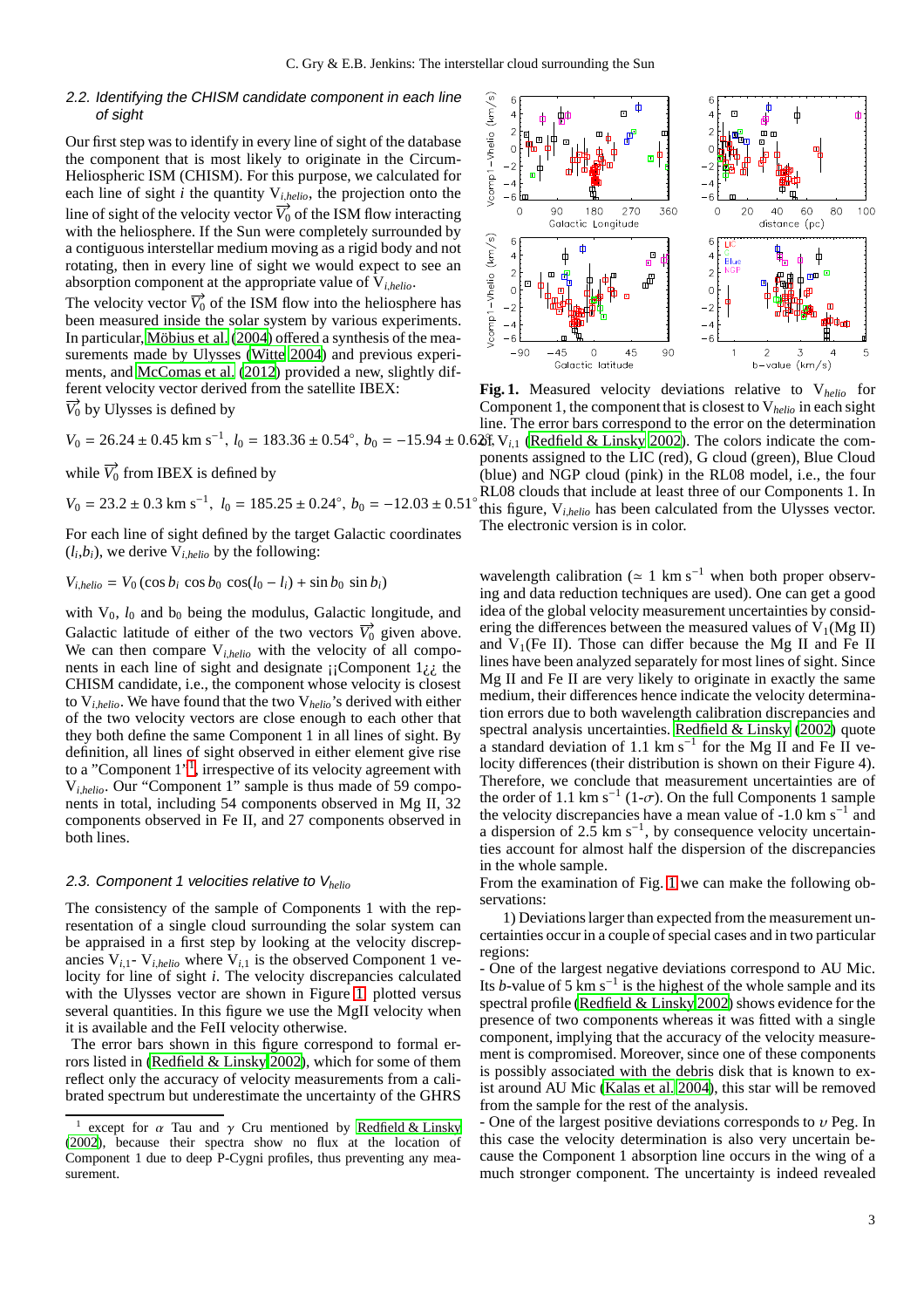#### <span id="page-2-3"></span>2.2. Identifying the CHISM candidate component in each line of sight

Our first step was to identify in every line of sight of the database the component that is most likely to originate in the Circum-Heliospheric ISM (CHISM). For this purpose, we calculated for each line of sight *i* the quantity V*i*,*helio*, the projection onto the line of sight of the velocity vector  $\overrightarrow{V_0}$  of the ISM flow interacting with the heliosphere. If the Sun were completely surrounded by a contiguous interstellar medium moving as a rigid body and not rotating, then in every line of sight we would expect to see an absorption component at the appropriate value of V*i*,*helio*.

The velocity vector  $\overrightarrow{V_0}$  of the ISM flow into the heliosphere has been measured inside the solar system by various experiments. In particular, Möbius et al.  $(2004)$  offered a synthesis of the measurements made by Ulysses [\(Witte 2004\)](#page-16-1) and previous experiments, and [McComas et al. \(2012\)](#page-15-11) provided a new, slightly different velocity vector derived from the satellite IBEX:

 $\overline{V_0}$  by Ulysses is defined by

while  $\overrightarrow{V_0}$  from IBEX is defined by

$$
V_0 = 23.2 \pm 0.3
$$
 km s<sup>-1</sup>,  $l_0 = 185.25 \pm 0.24^\circ$ ,  $b_0 = -12.03 \pm 0.51^\circ$ 

For each line of sight defined by the target Galactic coordinates  $(l_i, b_i)$ , we derive  $V_{i, helio}$  by the following:

$$
V_{i, helio} = V_0 (\cos b_i \cos b_0 \cos(l_0 - l_i) + \sin b_0 \sin b_i)
$$

with  $V_0$ ,  $l_0$  and  $b_0$  being the modulus, Galactic longitude, and Galactic latitude of either of the two vectors  $\overrightarrow{V_0}$  given above. We can then compare V<sub>i,helio</sub> with the velocity of all components in each line of sight and designate  $\iota$ <sup>c</sup>Component  $1_{\iota\iota}$  the CHISM candidate, i.e., the component whose velocity is closest to V*i*,*helio*. We have found that the two V*helio*'s derived with either of the two velocity vectors are close enough to each other that they both define the same Component 1 in all lines of sight. By definition, all lines of sight observed in either element give rise to a "Component 1"[1](#page-2-0) , irrespective of its velocity agreement with V*i*,*helio*. Our "Component 1" sample is thus made of 59 components in total, including 54 components observed in Mg II, 32 components observed in Fe II, and 27 components observed in both lines.

# <span id="page-2-2"></span>2.3. Component <sup>1</sup> velocities relative to <sup>V</sup>*helio*

The consistency of the sample of Components 1 with the representation of a single cloud surrounding the solar system can be appraised in a first step by looking at the velocity discrepancies  $V_{i,1}$ -  $V_{i,helio}$  where  $V_{i,1}$  is the observed Component 1 velocity for line of sight *i*. The velocity discrepancies calculated with the Ulysses vector are shown in Figure [1,](#page-2-1) plotted versus several quantities. In this figure we use the MgII velocity when it is available and the FeII velocity otherwise.

The error bars shown in this figure correspond to formal errors listed in [\(Redfield & Linsky 2002\)](#page-15-4), which for some of them reflect only the accuracy of velocity measurements from a calibrated spectrum but underestimate the uncertainty of the GHRS



 $V_0 = 26.24 \pm 0.45$  km s<sup>-1</sup>,  $l_0 = 183.36 \pm 0.54^\circ$ ,  $b_0 = -15.94 \pm 0.62$ <sup>®</sup>;  $V_{i,1}$  [\(Redfield & Linsky 2002\)](#page-15-4). The colors indicate the comthis figure,  $V_{i,helio}$  has been calculated from the Ulysses vector. **Fig. 1.** Measured velocity deviations relative to V*helio* for Component 1, the component that is closest to V*helio* in each sight line. The error bars correspond to the error on the determination ponents assigned to the LIC (red), G cloud (green), Blue Cloud (blue) and NGP cloud (pink) in the RL08 model, i.e., the four RL08 clouds that include at least three of our Components 1. In The electronic version is in color.

<span id="page-2-1"></span>wavelength calibration ( $\simeq 1 \text{ km s}^{-1}$  when both proper observing and data reduction techniques are used). One can get a good idea of the global velocity measurement uncertainties by considering the differences between the measured values of  $V_1(Mg II)$ and  $V_1$ (Fe II). Those can differ because the Mg II and Fe II lines have been analyzed separately for most lines of sight. Since Mg II and Fe II are very likely to originate in exactly the same medium, their differences hence indicate the velocity determination errors due to both wavelength calibration discrepancies and spectral analysis uncertainties. [Redfield & Linsky \(2002](#page-15-4)) quote a standard deviation of 1.1 km s<sup>-1</sup> for the Mg II and Fe II velocity differences (their distribution is shown on their Figure 4). Therefore, we conclude that measurement uncertainties are of the order of 1.1 km s<sup>-1</sup> (1- $\sigma$ ). On the full Components 1 sample the velocity discrepancies have a mean value of -1.0 km s<sup>-1</sup> and a dispersion of 2.5  $km s^{-1}$ , by consequence velocity uncertainties account for almost half the dispersion of the discrepancies in the whole sample.

From the examination of Fig. [1](#page-2-1) we can make the following observations:

1) Deviations larger than expected from the measurement uncertainties occur in a couple of special cases and in two particular regions:

- One of the largest negative deviations correspond to AU Mic. Its *b*-value of 5 km s<sup> $-1$ </sup> is the highest of the whole sample and its spectral profile [\(Redfield & Linsky 2002\)](#page-15-4) shows evidence for the presence of two components whereas it was fitted with a single component, implying that the accuracy of the velocity measurement is compromised. Moreover, since one of these components is possibly associated with the debris disk that is known to exist around AU Mic [\(Kalas et al. 2004\)](#page-15-12), this star will be removed from the sample for the rest of the analysis.

- One of the largest positive deviations corresponds to  $\nu$  Peg. In this case the velocity determination is also very uncertain because the Component 1 absorption line occurs in the wing of a much stronger component. The uncertainty is indeed revealed

<span id="page-2-0"></span><sup>1</sup> except for  $\alpha$  Tau and  $\gamma$  Cru mentioned by [Redfield & Linsky](#page-15-4) [\(2002](#page-15-4)), because their spectra show no flux at the location of Component 1 due to deep P-Cygni profiles, thus preventing any measurement.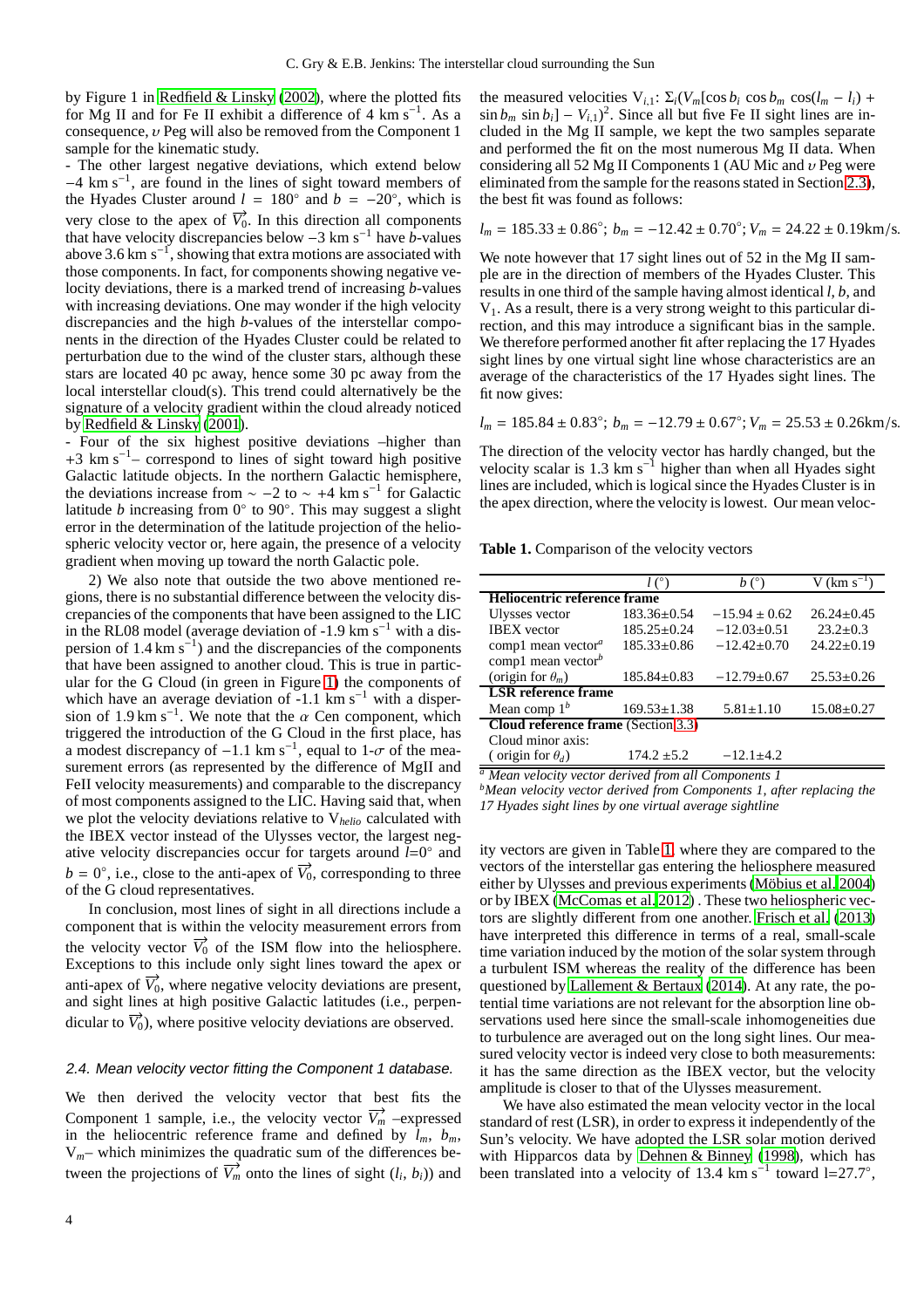by Figure 1 in [Redfield & Linsky \(2002\)](#page-15-4), where the plotted fits for Mg II and for Fe II exhibit a difference of 4 km s<sup>-1</sup>. As a consequence, υ Peg will also be removed from the Component 1 sample for the kinematic study.

- The other largest negative deviations, which extend below −4 km s−<sup>1</sup> , are found in the lines of sight toward members of the Hyades Cluster around  $l = 180^\circ$  and  $b = -20^\circ$ , which is very close to the apex of  $\overrightarrow{V_0}$ . In this direction all components that have velocity discrepancies below −3 km s−<sup>1</sup> have *b*-values above 3.6 km s<sup>-1</sup>, showing that extra motions are associated with those components. In fact, for components showing negative velocity deviations, there is a marked trend of increasing *b*-values with increasing deviations. One may wonder if the high velocity discrepancies and the high *b*-values of the interstellar components in the direction of the Hyades Cluster could be related to perturbation due to the wind of the cluster stars, although these stars are located 40 pc away, hence some 30 pc away from the local interstellar cloud(s). This trend could alternatively be the signature of a velocity gradient within the cloud already noticed by [Redfield & Linsky \(2001\)](#page-15-13).

- Four of the six highest positive deviations –higher than +3 km s−<sup>1</sup> – correspond to lines of sight toward high positive Galactic latitude objects. In the northern Galactic hemisphere, the deviations increase from  $\sim -2$  to  $\sim +4$  km s<sup>-1</sup> for Galactic latitude  $b$  increasing from  $0°$  to  $90°$ . This may suggest a slight error in the determination of the latitude projection of the heliospheric velocity vector or, here again, the presence of a velocity gradient when moving up toward the north Galactic pole.

2) We also note that outside the two above mentioned regions, there is no substantial difference between the velocity discrepancies of the components that have been assigned to the LIC in the RL08 model (average deviation of -1.9 km s<sup>-1</sup> with a dispersion of  $1.4 \text{ km s}^{-1}$ ) and the discrepancies of the components that have been assigned to another cloud. This is true in particular for the G Cloud (in green in Figure [1\)](#page-2-1) the components of which have an average deviation of  $-1.1 \text{ km s}^{-1}$  with a dispersion of 1.9 km s<sup>-1</sup>. We note that the  $\alpha$  Cen component, which triggered the introduction of the G Cloud in the first place, has a modest discrepancy of  $-1.1 \text{ km s}^{-1}$ , equal to  $1-\sigma$  of the measurement errors (as represented by the difference of MgII and FeII velocity measurements) and comparable to the discrepancy of most components assigned to the LIC. Having said that, when we plot the velocity deviations relative to V*helio* calculated with the IBEX vector instead of the Ulysses vector, the largest negative velocity discrepancies occur for targets around  $l=0$ <sup>o</sup> and  $b = 0^\circ$ , i.e., close to the anti-apex of  $\overrightarrow{V}_0$ , corresponding to three of the G cloud representatives.

In conclusion, most lines of sight in all directions include a component that is within the velocity measurement errors from the velocity vector  $\overrightarrow{V_0}$  of the ISM flow into the heliosphere. Exceptions to this include only sight lines toward the apex or anti-apex of  $\overrightarrow{V_0}$ , where negative velocity deviations are present, and sight lines at high positive Galactic latitudes (i.e., perpendicular to  $\vec{V}_0$ ), where positive velocity deviations are observed.

#### <span id="page-3-1"></span>2.4. Mean velocity vector fitting the Component <sup>1</sup> database.

We then derived the velocity vector that best fits the Component 1 sample, i.e., the velocity vector  $\overrightarrow{V}_m$  –expressed in the heliocentric reference frame and defined by  $l_m$ ,  $b_m$ ,  $V_m$ – which minimizes the quadratic sum of the differences between the projections of  $\overline{V}_m^{\prime}$  onto the lines of sight (*l<sub>i</sub>*, *b<sub>i</sub>*)) and

the measured velocities  $V_{i,1}$ :  $\Sigma_i(V_m[\cos b_i \cos b_m \cos(l_m - l_i) +$  $\sin b_m \sin b_i$ ] –  $V_{i,1}$ )<sup>2</sup>. Since all but five Fe II sight lines are included in the Mg II sample, we kept the two samples separate and performed the fit on the most numerous Mg II data. When considering all 52 Mg II Components 1 (AU Mic and  $\nu$  Peg were eliminated from the sample for the reasons stated in Section [2.3\)](#page-2-2), the best fit was found as follows:

$$
l_m = 185.33 \pm 0.86^{\circ}
$$
;  $b_m = -12.42 \pm 0.70^{\circ}$ ;  $V_m = 24.22 \pm 0.19$ km/s.

We note however that 17 sight lines out of 52 in the Mg II sample are in the direction of members of the Hyades Cluster. This results in one third of the sample having almost identical *l*, *b*, and  $V_1$ . As a result, there is a very strong weight to this particular direction, and this may introduce a significant bias in the sample. We therefore performed another fit after replacing the 17 Hyades sight lines by one virtual sight line whose characteristics are an average of the characteristics of the 17 Hyades sight lines. The fit now gives:

$$
l_m = 185.84 \pm 0.83^{\circ}
$$
;  $b_m = -12.79 \pm 0.67^{\circ}$ ;  $V_m = 25.53 \pm 0.26$ km/s.

The direction of the velocity vector has hardly changed, but the velocity scalar is 1.3 km s<sup>-1</sup> higher than when all Hyades sight lines are included, which is logical since the Hyades Cluster is in the apex direction, where the velocity is lowest. Our mean veloc-

<span id="page-3-0"></span>**Table 1.** Comparison of the velocity vectors

|                                            | l(°)              |                   | V (km s          |  |
|--------------------------------------------|-------------------|-------------------|------------------|--|
| Heliocentric reference frame               |                   |                   |                  |  |
| Ulysses vector                             | $183.36 \pm 0.54$ | $-15.94 \pm 0.62$ | $26.24 \pm 0.45$ |  |
| <b>IBEX</b> vector                         | $185.25 \pm 0.24$ | $-12.03 \pm 0.51$ | $23.2 \pm 0.3$   |  |
| comp1 mean vector <sup><i>a</i></sup>      | $185.33 \pm 0.86$ | $-12.42+0.70$     | $24.22 \pm 0.19$ |  |
| comp1 mean vector <sup>b</sup>             |                   |                   |                  |  |
| (origin for $\theta_m$ )                   | $185.84 \pm 0.83$ | $-12.79+0.67$     | $25.53 \pm 0.26$ |  |
| <b>LSR</b> reference frame                 |                   |                   |                  |  |
| Mean comp $1b$                             | $169.53 \pm 1.38$ | $5.81 \pm 1.10$   | $15.08 \pm 0.27$ |  |
| <b>Cloud reference frame</b> (Section 3.3) |                   |                   |                  |  |
| Cloud minor axis:                          |                   |                   |                  |  |
| (origin for $\theta_d$ )                   | $174.2 \pm 5.2$   | $-12.1\pm4.2$     |                  |  |

*<sup>a</sup> Mean velocity vector derived from all Components 1*

*<sup>b</sup>Mean velocity vector derived from Components 1, after replacing the 17 Hyades sight lines by one virtual average sightline*

ity vectors are given in Table [1,](#page-3-0) where they are compared to the vectors of the interstellar gas entering the heliosphere measured either by Ulysses and previous experiments (Möbius et al. 2004) or by IBEX [\(McComas et al. 2012](#page-15-11)) . These two heliospheric vectors are slightly different from one another. [Frisch et al. \(2013\)](#page-15-14) have interpreted this difference in terms of a real, small-scale time variation induced by the motion of the solar system through a turbulent ISM whereas the reality of the difference has been questioned by [Lallement & Bertaux \(2014\)](#page-15-15). At any rate, the potential time variations are not relevant for the absorption line observations used here since the small-scale inhomogeneities due to turbulence are averaged out on the long sight lines. Our measured velocity vector is indeed very close to both measurements: it has the same direction as the IBEX vector, but the velocity amplitude is closer to that of the Ulysses measurement.

We have also estimated the mean velocity vector in the local standard of rest (LSR), in order to express it independently of the Sun's velocity. We have adopted the LSR solar motion derived with Hipparcos data by [Dehnen & Binney](#page-15-16) [\(1998\)](#page-15-16), which has been translated into a velocity of 13.4  $\text{km s}^{-1}$  toward l=27.7°,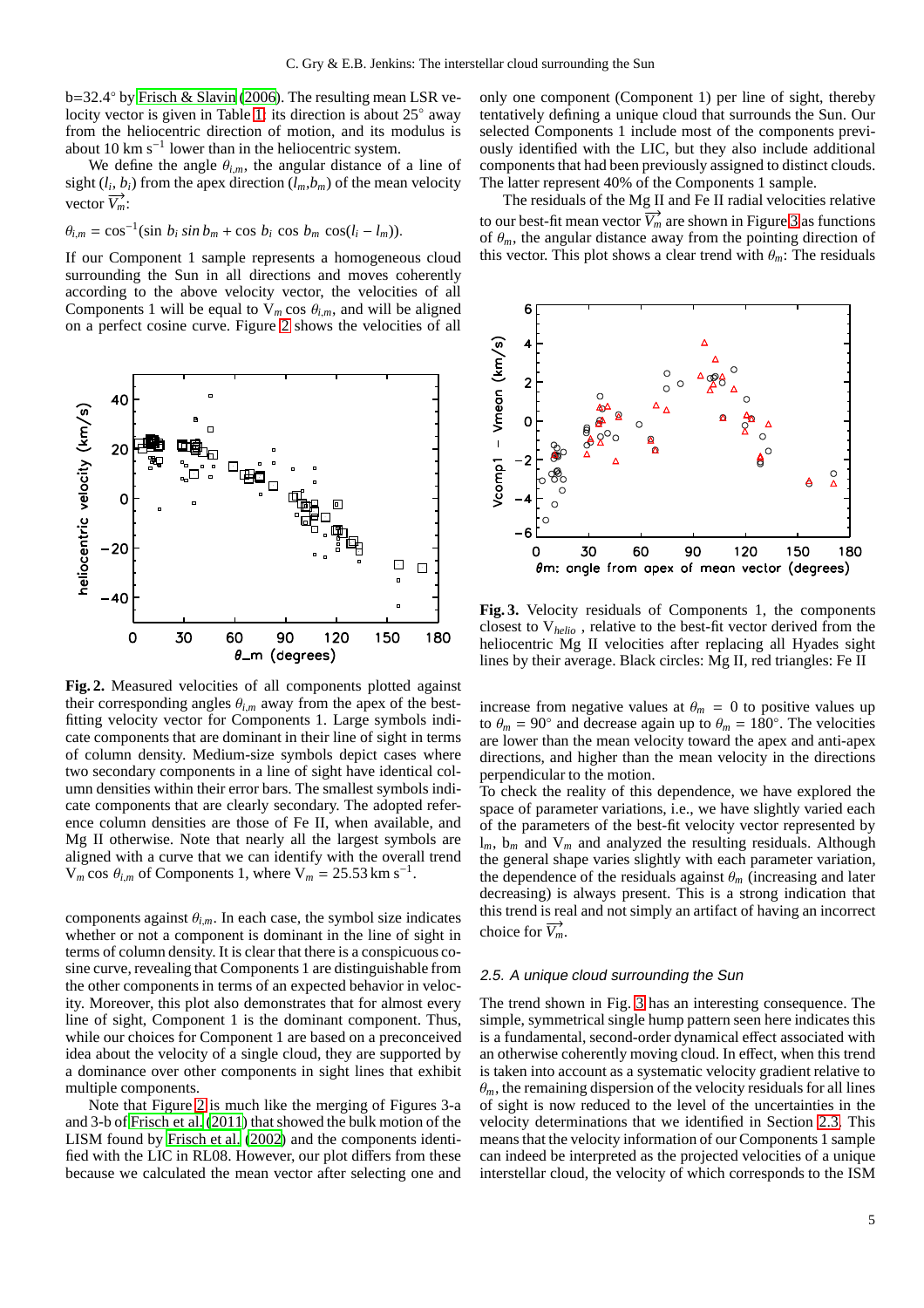b=32.4◦ by [Frisch & Slavin](#page-15-17) [\(2006\)](#page-15-17). The resulting mean LSR velocity vector is given in Table [1:](#page-3-0) its direction is about 25◦ away from the heliocentric direction of motion, and its modulus is about 10 km  $s^{-1}$  lower than in the heliocentric system.

We define the angle  $\theta_{i,m}$ , the angular distance of a line of sight  $(l_i, b_i)$  from the apex direction  $(l_m, b_m)$  of the mean velocity vector  $\overrightarrow{V_m}$ :

$$
\theta_{i,m} = \cos^{-1}(\sin b_i \sin b_m + \cos b_i \cos b_m \cos(l_i - l_m)).
$$

If our Component 1 sample represents a homogeneous cloud surrounding the Sun in all directions and moves coherently according to the above velocity vector, the velocities of all Components 1 will be equal to  $V_m \cos \theta_{i,m}$ , and will be aligned on a perfect cosine curve. Figure [2](#page-4-0) shows the velocities of all



<span id="page-4-0"></span>**Fig. 2.** Measured velocities of all components plotted against their corresponding angles  $\theta_{i,m}$  away from the apex of the bestfitting velocity vector for Components 1. Large symbols indicate components that are dominant in their line of sight in terms of column density. Medium-size symbols depict cases where two secondary components in a line of sight have identical column densities within their error bars. The smallest symbols indicate components that are clearly secondary. The adopted reference column densities are those of Fe II, when available, and Mg II otherwise. Note that nearly all the largest symbols are aligned with a curve that we can identify with the overall trend  $V_m$  cos  $\theta_{i,m}$  of Components 1, where  $V_m = 25.53 \text{ km s}^{-1}$ .

components against  $\theta_{i,m}$ . In each case, the symbol size indicates whether or not a component is dominant in the line of sight in terms of column density. It is clear that there is a conspicuous cosine curve, revealing that Components 1 are distinguishable from the other components in terms of an expected behavior in velocity. Moreover, this plot also demonstrates that for almost every line of sight, Component 1 is the dominant component. Thus, while our choices for Component 1 are based on a preconceived idea about the velocity of a single cloud, they are supported by a dominance over other components in sight lines that exhibit multiple components.

Note that Figure [2](#page-4-0) is much like the merging of Figures 3-a and 3-b of [Frisch et al. \(2011](#page-15-0)) that showed the bulk motion of the LISM found by [Frisch et al. \(2002\)](#page-15-3) and the components identified with the LIC in RL08. However, our plot differs from these because we calculated the mean vector after selecting one and only one component (Component 1) per line of sight, thereby tentatively defining a unique cloud that surrounds the Sun. Our selected Components 1 include most of the components previously identified with the LIC, but they also include additional components that had been previously assigned to distinct clouds. The latter represent 40% of the Components 1 sample.

The residuals of the Mg II and Fe II radial velocities relative to our best-fit mean vector  $\overrightarrow{V}_m$  are shown in Figure [3](#page-4-1) as functions of  $\theta_m$ , the angular distance away from the pointing direction of this vector. This plot shows a clear trend with  $\theta_m$ : The residuals



<span id="page-4-1"></span>**Fig. 3.** Velocity residuals of Components 1, the components closest to V*helio* , relative to the best-fit vector derived from the heliocentric Mg II velocities after replacing all Hyades sight lines by their average. Black circles: Mg II, red triangles: Fe II

increase from negative values at  $\theta_m = 0$  to positive values up to  $\theta_m = 90^\circ$  and decrease again up to  $\theta_m = 180^\circ$ . The velocities are lower than the mean velocity toward the apex and anti-apex directions, and higher than the mean velocity in the directions perpendicular to the motion.

To check the reality of this dependence, we have explored the space of parameter variations, i.e., we have slightly varied each of the parameters of the best-fit velocity vector represented by l*m*, b*<sup>m</sup>* and V*<sup>m</sup>* and analyzed the resulting residuals. Although the general shape varies slightly with each parameter variation, the dependence of the residuals against  $\theta_m$  (increasing and later decreasing) is always present. This is a strong indication that this trend is real and not simply an artifact of having an incorrect choice for  $\overrightarrow{V_m}$ .

## <span id="page-4-2"></span>2.5. <sup>A</sup> unique cloud surrounding the Sun

The trend shown in Fig. [3](#page-4-1) has an interesting consequence. The simple, symmetrical single hump pattern seen here indicates this is a fundamental, second-order dynamical effect associated with an otherwise coherently moving cloud. In effect, when this trend is taken into account as a systematic velocity gradient relative to  $\theta_m$ , the remaining dispersion of the velocity residuals for all lines of sight is now reduced to the level of the uncertainties in the velocity determinations that we identified in Section [2.3.](#page-2-2) This means that the velocity information of our Components 1 sample can indeed be interpreted as the projected velocities of a unique interstellar cloud, the velocity of which corresponds to the ISM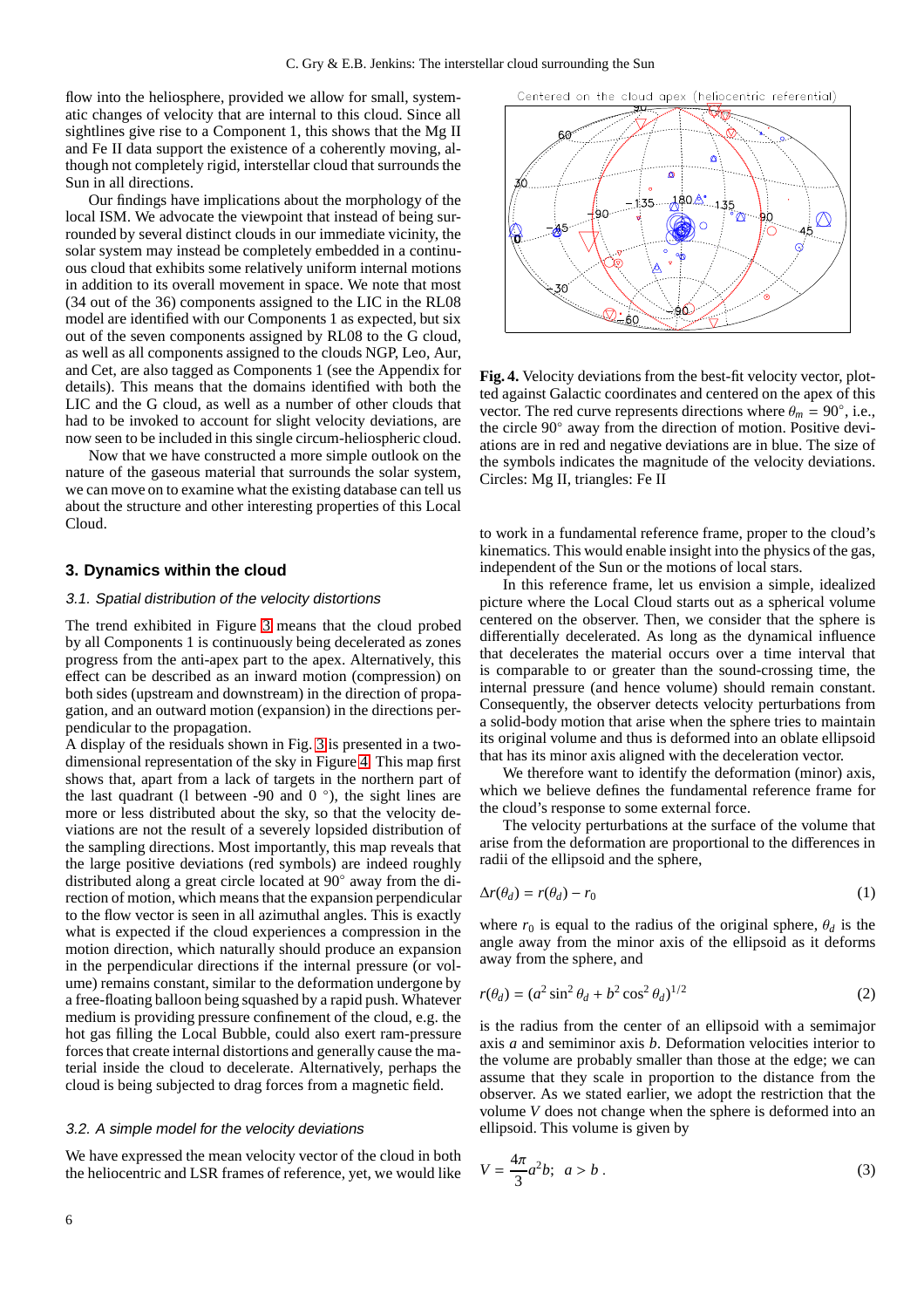flow into the heliosphere, provided we allow for small, systematic changes of velocity that are internal to this cloud. Since all sightlines give rise to a Component 1, this shows that the Mg II and Fe II data support the existence of a coherently moving, although not completely rigid, interstellar cloud that surrounds the Sun in all directions.

Our findings have implications about the morphology of the local ISM. We advocate the viewpoint that instead of being surrounded by several distinct clouds in our immediate vicinity, the solar system may instead be completely embedded in a continuous cloud that exhibits some relatively uniform internal motions in addition to its overall movement in space. We note that most (34 out of the 36) components assigned to the LIC in the RL08 model are identified with our Components 1 as expected, but six out of the seven components assigned by RL08 to the G cloud, as well as all components assigned to the clouds NGP, Leo, Aur, and Cet, are also tagged as Components 1 (see the Appendix for details). This means that the domains identified with both the LIC and the G cloud, as well as a number of other clouds that had to be invoked to account for slight velocity deviations, are now seen to be included in this single circum-heliospheric cloud.

Now that we have constructed a more simple outlook on the nature of the gaseous material that surrounds the solar system, we can move on to examine what the existing database can tell us about the structure and other interesting properties of this Local Cloud.

# **3. Dynamics within the cloud**

#### 3.1. Spatial distribution of the velocity distortions

The trend exhibited in Figure [3](#page-4-1) means that the cloud probed by all Components 1 is continuously being decelerated as zones progress from the anti-apex part to the apex. Alternatively, this effect can be described as an inward motion (compression) on both sides (upstream and downstream) in the direction of propagation, and an outward motion (expansion) in the directions perpendicular to the propagation.

A display of the residuals shown in Fig. [3](#page-4-1) is presented in a twodimensional representation of the sky in Figure [4.](#page-5-0) This map first shows that, apart from a lack of targets in the northern part of the last quadrant (1 between -90 and 0 $\degree$ ), the sight lines are more or less distributed about the sky, so that the velocity deviations are not the result of a severely lopsided distribution of the sampling directions. Most importantly, this map reveals that the large positive deviations (red symbols) are indeed roughly distributed along a great circle located at 90◦ away from the direction of motion, which means that the expansion perpendicular to the flow vector is seen in all azimuthal angles. This is exactly what is expected if the cloud experiences a compression in the motion direction, which naturally should produce an expansion in the perpendicular directions if the internal pressure (or volume) remains constant, similar to the deformation undergone by a free-floating balloon being squashed by a rapid push. Whatever medium is providing pressure confinement of the cloud, e.g. the hot gas filling the Local Bubble, could also exert ram-pressure forces that create internal distortions and generally cause the material inside the cloud to decelerate. Alternatively, perhaps the cloud is being subjected to drag forces from a magnetic field.

#### <span id="page-5-4"></span>3.2. <sup>A</sup> simple model for the velocity deviations

We have expressed the mean velocity vector of the cloud in both the heliocentric and LSR frames of reference, yet, we would like



<span id="page-5-0"></span>**Fig. 4.** Velocity deviations from the best-fit velocity vector, plotted against Galactic coordinates and centered on the apex of this vector. The red curve represents directions where  $\theta_m = 90^\circ$ , i.e., the circle 90◦ away from the direction of motion. Positive deviations are in red and negative deviations are in blue. The size of the symbols indicates the magnitude of the velocity deviations. Circles: Mg II, triangles: Fe II

to work in a fundamental reference frame, proper to the cloud's kinematics. This would enable insight into the physics of the gas, independent of the Sun or the motions of local stars.

In this reference frame, let us envision a simple, idealized picture where the Local Cloud starts out as a spherical volume centered on the observer. Then, we consider that the sphere is differentially decelerated. As long as the dynamical influence that decelerates the material occurs over a time interval that is comparable to or greater than the sound-crossing time, the internal pressure (and hence volume) should remain constant. Consequently, the observer detects velocity perturbations from a solid-body motion that arise when the sphere tries to maintain its original volume and thus is deformed into an oblate ellipsoid that has its minor axis aligned with the deceleration vector.

We therefore want to identify the deformation (minor) axis, which we believe defines the fundamental reference frame for the cloud's response to some external force.

The velocity perturbations at the surface of the volume that arise from the deformation are proportional to the differences in radii of the ellipsoid and the sphere,

<span id="page-5-3"></span>
$$
\Delta r(\theta_d) = r(\theta_d) - r_0 \tag{1}
$$

where  $r_0$  is equal to the radius of the original sphere,  $\theta_d$  is the angle away from the minor axis of the ellipsoid as it deforms away from the sphere, and

<span id="page-5-2"></span>
$$
r(\theta_d) = (a^2 \sin^2 \theta_d + b^2 \cos^2 \theta_d)^{1/2}
$$
 (2)

is the radius from the center of an ellipsoid with a semimajor axis *a* and semiminor axis *b*. Deformation velocities interior to the volume are probably smaller than those at the edge; we can assume that they scale in proportion to the distance from the observer. As we stated earlier, we adopt the restriction that the volume *V* does not change when the sphere is deformed into an ellipsoid. This volume is given by

<span id="page-5-1"></span>
$$
V = \frac{4\pi}{3}a^2b; \ \ a > b \ . \tag{3}
$$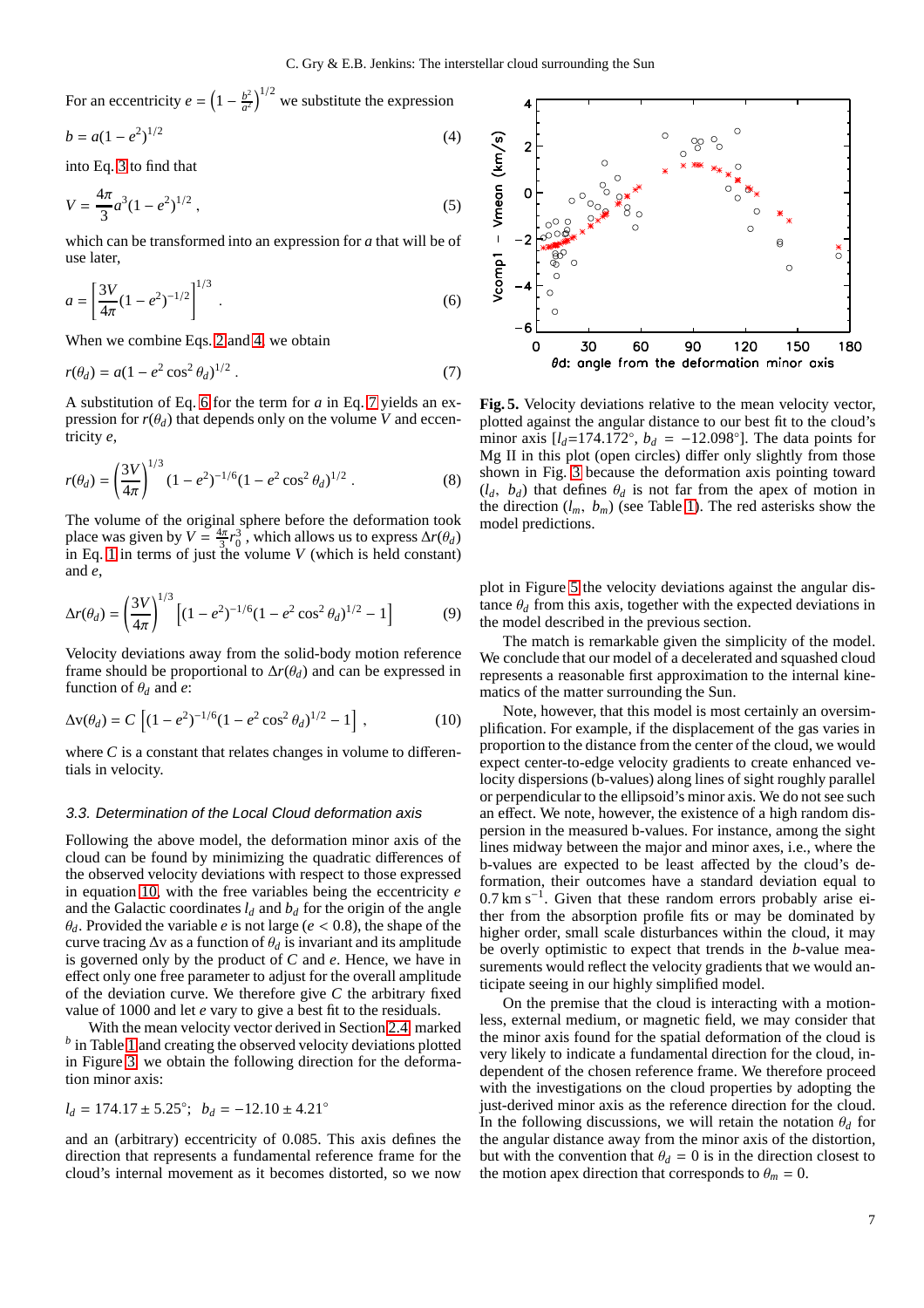For an eccentricity  $e = \left(1 - \frac{b^2}{a^2}\right)$  $\frac{b^2}{a^2}$ )<sup>1/2</sup> we substitute the expression

<span id="page-6-1"></span>
$$
b = a(1 - e^2)^{1/2} \tag{4}
$$

into Eq. [3](#page-5-1) to find that

$$
V = \frac{4\pi}{3}a^3(1 - e^2)^{1/2},
$$
\n(5)

which can be transformed into an expression for *a* that will be of use later,

<span id="page-6-2"></span>
$$
a = \left[\frac{3V}{4\pi}(1 - e^2)^{-1/2}\right]^{1/3} \,. \tag{6}
$$

When we combine Eqs. [2](#page-5-2) and [4,](#page-6-1) we obtain

<span id="page-6-3"></span>
$$
r(\theta_d) = a(1 - e^2 \cos^2 \theta_d)^{1/2} \,. \tag{7}
$$

A substitution of Eq. [6](#page-6-2) for the term for *a* in Eq. [7](#page-6-3) yields an expression for  $r(\theta_d)$  that depends only on the volume *V* and eccentricity *e*,

$$
r(\theta_d) = \left(\frac{3V}{4\pi}\right)^{1/3} (1 - e^2)^{-1/6} (1 - e^2 \cos^2 \theta_d)^{1/2} . \tag{8}
$$

The volume of the original sphere before the deformation took place was given by  $V = \frac{4\pi}{3} r_0^3$ , which allows us to express  $\Delta r(\theta_d)$ in Eq. [1](#page-5-3) in terms of just the volume *V* (which is held constant) and *e*,

$$
\Delta r(\theta_d) = \left(\frac{3V}{4\pi}\right)^{1/3} \left[ (1 - e^2)^{-1/6} (1 - e^2 \cos^2 \theta_d)^{1/2} - 1 \right] \tag{9}
$$

Velocity deviations away from the solid-body motion reference frame should be proportional to  $\Delta r(\theta_d)$  and can be expressed in function of  $\theta_d$  and *e*:

<span id="page-6-4"></span>
$$
\Delta v(\theta_d) = C \left[ (1 - e^2)^{-1/6} (1 - e^2 \cos^2 \theta_d)^{1/2} - 1 \right],
$$
 (10)

where  $C$  is a constant that relates changes in volume to differentials in velocity.

#### <span id="page-6-0"></span>3.3. Determination of the Local Cloud deformation axis

Following the above model, the deformation minor axis of the cloud can be found by minimizing the quadratic differences of the observed velocity deviations with respect to those expressed in equation [10,](#page-6-4) with the free variables being the eccentricity *e* and the Galactic coordinates  $l_d$  and  $b_d$  for the origin of the angle  $\theta_d$ . Provided the variable *e* is not large ( $e < 0.8$ ), the shape of the curve tracing  $\Delta v$  as a function of  $\theta_d$  is invariant and its amplitude is governed only by the product of *C* and *e*. Hence, we have in effect only one free parameter to adjust for the overall amplitude of the deviation curve. We therefore give *C* the arbitrary fixed value of 1000 and let *e* vary to give a best fit to the residuals.

With the mean velocity vector derived in Section [2.4,](#page-3-1) marked *b* in Table [1](#page-3-0) and creating the observed velocity deviations plotted in Figure [3,](#page-4-1) we obtain the following direction for the deformation minor axis:

$$
l_d = 174.17 \pm 5.25^{\circ}; b_d = -12.10 \pm 4.21^{\circ}
$$

and an (arbitrary) eccentricity of 0.085. This axis defines the direction that represents a fundamental reference frame for the cloud's internal movement as it becomes distorted, so we now



<span id="page-6-5"></span>**Fig. 5.** Velocity deviations relative to the mean velocity vector, plotted against the angular distance to our best fit to the cloud's minor axis  $[l_d=174.172^\circ, b_d = -12.098^\circ$ . The data points for Mg II in this plot (open circles) differ only slightly from those shown in Fig. [3](#page-4-1) because the deformation axis pointing toward  $(l_d, b_d)$  that defines  $\theta_d$  is not far from the apex of motion in the direction  $(l_m, b_m)$  (see Table [1\)](#page-3-0). The red asterisks show the model predictions.

plot in Figure [5](#page-6-5) the velocity deviations against the angular distance  $\theta_d$  from this axis, together with the expected deviations in the model described in the previous section.

The match is remarkable given the simplicity of the model. We conclude that our model of a decelerated and squashed cloud represents a reasonable first approximation to the internal kinematics of the matter surrounding the Sun.

Note, however, that this model is most certainly an oversimplification. For example, if the displacement of the gas varies in proportion to the distance from the center of the cloud, we would expect center-to-edge velocity gradients to create enhanced velocity dispersions (b-values) along lines of sight roughly parallel or perpendicular to the ellipsoid's minor axis. We do not see such an effect. We note, however, the existence of a high random dispersion in the measured b-values. For instance, among the sight lines midway between the major and minor axes, i.e., where the b-values are expected to be least affected by the cloud's deformation, their outcomes have a standard deviation equal to  $0.7 \text{ km s}^{-1}$ . Given that these random errors probably arise either from the absorption profile fits or may be dominated by higher order, small scale disturbances within the cloud, it may be overly optimistic to expect that trends in the *b*-value measurements would reflect the velocity gradients that we would anticipate seeing in our highly simplified model.

On the premise that the cloud is interacting with a motionless, external medium, or magnetic field, we may consider that the minor axis found for the spatial deformation of the cloud is very likely to indicate a fundamental direction for the cloud, independent of the chosen reference frame. We therefore proceed with the investigations on the cloud properties by adopting the just-derived minor axis as the reference direction for the cloud. In the following discussions, we will retain the notation  $\theta_d$  for the angular distance away from the minor axis of the distortion, but with the convention that  $\theta_d = 0$  is in the direction closest to the motion apex direction that corresponds to  $\theta_m = 0$ .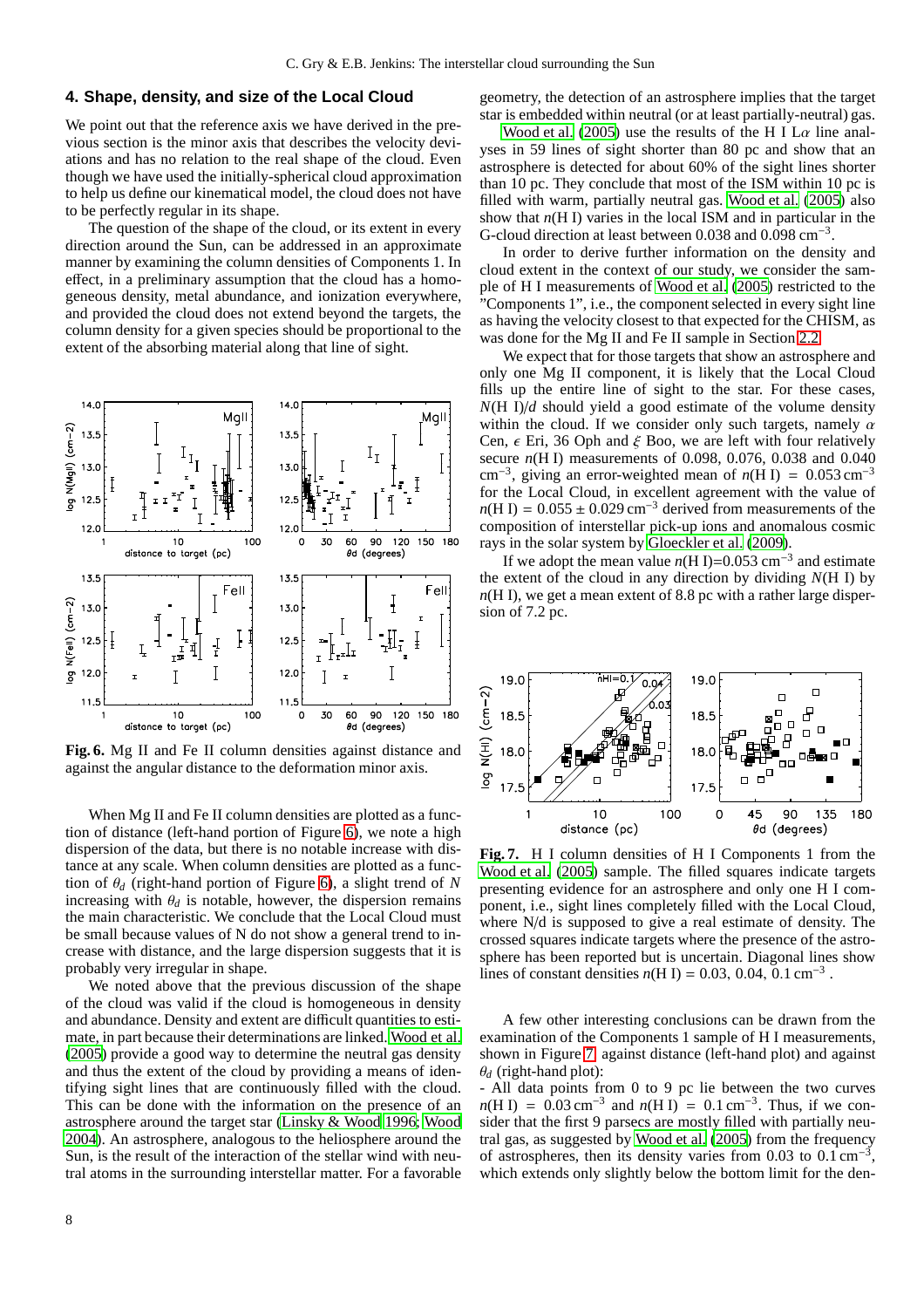# **4. Shape, density, and size of the Local Cloud**

We point out that the reference axis we have derived in the previous section is the minor axis that describes the velocity deviations and has no relation to the real shape of the cloud. Even though we have used the initially-spherical cloud approximation to help us define our kinematical model, the cloud does not have to be perfectly regular in its shape.

The question of the shape of the cloud, or its extent in every direction around the Sun, can be addressed in an approximate manner by examining the column densities of Components 1. In effect, in a preliminary assumption that the cloud has a homogeneous density, metal abundance, and ionization everywhere, and provided the cloud does not extend beyond the targets, the column density for a given species should be proportional to the extent of the absorbing material along that line of sight.



<span id="page-7-0"></span>**Fig. 6.** Mg II and Fe II column densities against distance and against the angular distance to the deformation minor axis.

When Mg II and Fe II column densities are plotted as a function of distance (left-hand portion of Figure [6\)](#page-7-0), we note a high dispersion of the data, but there is no notable increase with distance at any scale. When column densities are plotted as a function of θ*<sup>d</sup>* (right-hand portion of Figure [6\)](#page-7-0), a slight trend of *N* increasing with  $\theta_d$  is notable, however, the dispersion remains the main characteristic. We conclude that the Local Cloud must be small because values of N do not show a general trend to increase with distance, and the large dispersion suggests that it is probably very irregular in shape.

We noted above that the previous discussion of the shape of the cloud was valid if the cloud is homogeneous in density and abundance. Density and extent are difficult quantities to estimate, in part because their determinations are linked. [Wood](#page-16-0) et al. [\(2005\)](#page-16-0) provide a good way to determine the neutral gas density and thus the extent of the cloud by providing a means of identifying sight lines that are continuously filled with the cloud. This can be done with the information on the presence of an astrosphere around the target star [\(Linsky & Wood 1996;](#page-15-18) [Wood](#page-16-2) [2004](#page-16-2)). An astrosphere, analogous to the heliosphere around the Sun, is the result of the interaction of the stellar wind with neutral atoms in the surrounding interstellar matter. For a favorable geometry, the detection of an astrosphere implies that the target star is embedded within neutral (or at least partially-neutral) gas.

[Wood et al. \(2005\)](#page-16-0) use the results of the H I  $\text{L}\alpha$  line analyses in 59 lines of sight shorter than 80 pc and show that an astrosphere is detected for about 60% of the sight lines shorter than 10 pc. They conclude that most of the ISM within 10 pc is filled with warm, partially neutral gas. [Wood et al. \(2005\)](#page-16-0) also show that  $n(H I)$  varies in the local ISM and in particular in the G-cloud direction at least between 0.038 and  $0.098$  cm<sup>-3</sup>.

In order to derive further information on the density and cloud extent in the context of our study, we consider the sample of H I measurements of [Wood et al.](#page-16-0) [\(2005\)](#page-16-0) restricted to the "Components 1", i.e., the component selected in every sight line as having the velocity closest to that expected for the CHISM, as was done for the Mg II and Fe II sample in Section [2.2.](#page-2-3)

We expect that for those targets that show an astrosphere and only one Mg II component, it is likely that the Local Cloud fills up the entire line of sight to the star. For these cases,  $N(H I)/d$  should yield a good estimate of the volume density within the cloud. If we consider only such targets, namely  $\alpha$ Cen,  $\epsilon$  Eri, 36 Oph and  $\xi$  Boo, we are left with four relatively secure *n*(H I) measurements of 0.098, 0.076, 0.038 and 0.040  $\text{cm}^{-3}$ , giving an error-weighted mean of *n*(H I) = 0.053 cm<sup>-3</sup> for the Local Cloud, in excellent agreement with the value of  $n(H I) = 0.055 \pm 0.029$  cm<sup>-3</sup> derived from measurements of the composition of interstellar pick-up ions and anomalous cosmic rays in the solar system by [Gloeckler et al. \(2009](#page-15-19)).

If we adopt the mean value  $n(H I)=0.053$  cm<sup>-3</sup> and estimate the extent of the cloud in any direction by dividing  $N(H I)$  by  $n(H I)$ , we get a mean extent of 8.8 pc with a rather large dispersion of 7.2 pc.



<span id="page-7-1"></span>**Fig. 7.** H I column densities of H I Components 1 from the [Wood et al.](#page-16-0) [\(2005\)](#page-16-0) sample. The filled squares indicate targets presenting evidence for an astrosphere and only one H I component, i.e., sight lines completely filled with the Local Cloud, where N/d is supposed to give a real estimate of density. The crossed squares indicate targets where the presence of the astrosphere has been reported but is uncertain. Diagonal lines show lines of constant densities  $n(H I) = 0.03, 0.04, 0.1 \text{ cm}^{-3}$ .

A few other interesting conclusions can be drawn from the examination of the Components 1 sample of H I measurements, shown in Figure [7,](#page-7-1) against distance (left-hand plot) and against  $\theta_d$  (right-hand plot):

- All data points from 0 to 9 pc lie between the two curves  $n(H I) = 0.03 \text{ cm}^{-3}$  and  $n(H I) = 0.1 \text{ cm}^{-3}$ . Thus, if we consider that the first 9 parsecs are mostly filled with partially neutral gas, as suggested by [Wood et al. \(2005\)](#page-16-0) from the frequency of astrospheres, then its density varies from  $0.03$  to  $0.1 \text{ cm}^{-3}$ , which extends only slightly below the bottom limit for the den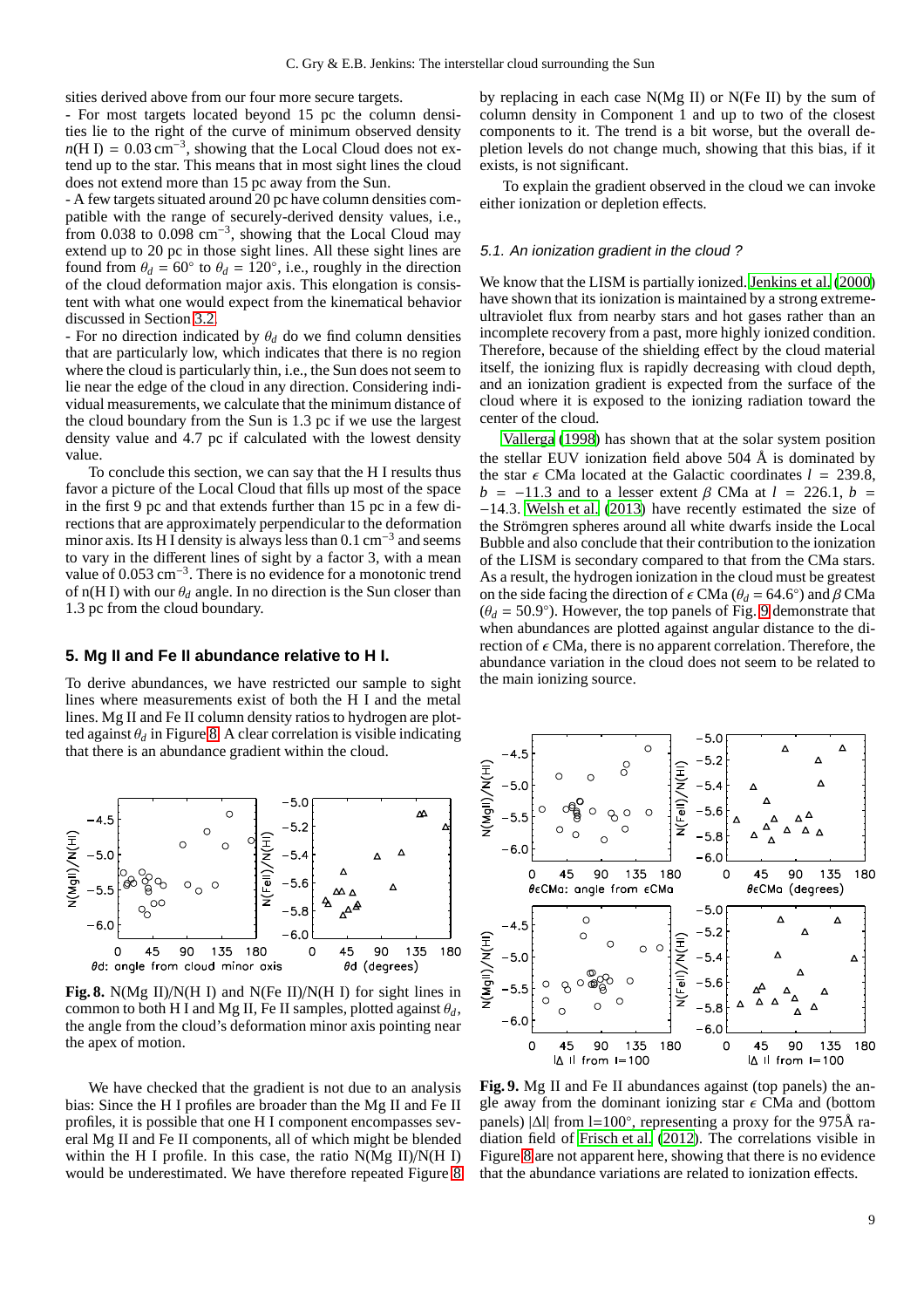sities derived above from our four more secure targets.

- For most targets located beyond 15 pc the column densities lie to the right of the curve of minimum observed density  $n(H I) = 0.03 \text{ cm}^{-3}$ , showing that the Local Cloud does not extend up to the star. This means that in most sight lines the cloud does not extend more than 15 pc away from the Sun.

- A few targets situated around 20 pc have column densities compatible with the range of securely-derived density values, i.e., from 0.038 to 0.098 cm−<sup>3</sup> , showing that the Local Cloud may extend up to 20 pc in those sight lines. All these sight lines are found from  $\theta_d = 60^\circ$  to  $\theta_d = 120^\circ$ , i.e., roughly in the direction of the cloud deformation major axis. This elongation is consistent with what one would expect from the kinematical behavior discussed in Section [3.2.](#page-5-4)

- For no direction indicated by  $\theta_d$  do we find column densities that are particularly low, which indicates that there is no region where the cloud is particularly thin, i.e., the Sun does not seem to lie near the edge of the cloud in any direction. Considering individual measurements, we calculate that the minimum distance of the cloud boundary from the Sun is 1.3 pc if we use the largest density value and 4.7 pc if calculated with the lowest density value.

To conclude this section, we can say that the H I results thus favor a picture of the Local Cloud that fills up most of the space in the first 9 pc and that extends further than 15 pc in a few directions that are approximately perpendicular to the deformation minor axis. Its H I density is always less than  $0.1 \text{ cm}^{-3}$  and seems to vary in the different lines of sight by a factor 3, with a mean value of 0.053 cm−<sup>3</sup> . There is no evidence for a monotonic trend of n(H I) with our  $\theta_d$  angle. In no direction is the Sun closer than 1.3 pc from the cloud boundary.

# **5. Mg II and Fe II abundance relative to H I.**

To derive abundances, we have restricted our sample to sight lines where measurements exist of both the H I and the metal lines. Mg II and Fe II column density ratios to hydrogen are plotted against  $\theta_d$  in Figure [8.](#page-8-0) A clear correlation is visible indicating that there is an abundance gradient within the cloud.

by replacing in each case N(Mg II) or N(Fe II) by the sum of column density in Component 1 and up to two of the closest components to it. The trend is a bit worse, but the overall depletion levels do not change much, showing that this bias, if it exists, is not significant.

To explain the gradient observed in the cloud we can invoke either ionization or depletion effects.

# 5.1. An ionization gradient in the cloud ?

We know that the LISM is partially ionized. [Jenkins et al. \(2000\)](#page-15-20) have shown that its ionization is maintained by a strong extremeultraviolet flux from nearby stars and hot gases rather than an incomplete recovery from a past, more highly ionized condition. Therefore, because of the shielding effect by the cloud material itself, the ionizing flux is rapidly decreasing with cloud depth, and an ionization gradient is expected from the surface of the cloud where it is exposed to the ionizing radiation toward the center of the cloud.

[Vallerga \(1998](#page-15-21)) has shown that at the solar system position the stellar EUV ionization field above 504 Å is dominated by the star  $\epsilon$  CMa located at the Galactic coordinates  $l = 239.8$ ,  $b = -11.3$  and to a lesser extent  $\beta$  CMa at  $l = 226.1$ ,  $b =$ −14.3. [Welsh et al.](#page-16-3) [\(2013\)](#page-16-3) have recently estimated the size of the Strömgren spheres around all white dwarfs inside the Local Bubble and also conclude that their contribution to the ionization of the LISM is secondary compared to that from the CMa stars. As a result, the hydrogen ionization in the cloud must be greatest on the side facing the direction of  $\epsilon$  CMa ( $\theta_d$  = 64.6°) and  $\beta$  CMa  $(\theta_d = 50.9^\circ)$ . However, the top panels of Fig. [9](#page-8-1) demonstrate that when abundances are plotted against angular distance to the direction of  $\epsilon$  CMa, there is no apparent correlation. Therefore, the abundance variation in the cloud does not seem to be related to the main ionizing source.



<span id="page-8-0"></span>**Fig. 8.** N(Mg II)/N(H I) and N(Fe II)/N(H I) for sight lines in common to both H I and Mg II, Fe II samples, plotted against  $\theta_d$ , the angle from the cloud's deformation minor axis pointing near the apex of motion.

We have checked that the gradient is not due to an analysis bias: Since the H I profiles are broader than the Mg II and Fe II profiles, it is possible that one H I component encompasses several Mg II and Fe II components, all of which might be blended within the H I profile. In this case, the ratio N(Mg II)/N(H I) would be underestimated. We have therefore repeated Figure [8](#page-8-0)



<span id="page-8-1"></span>**Fig. 9.** Mg II and Fe II abundances against (top panels) the angle away from the dominant ionizing star  $\epsilon$  CMa and (bottom panels) |∆l| from l=100°, representing a proxy for the 975Å radiation field of [Frisch et al. \(2012\)](#page-15-22). The correlations visible in Figure [8](#page-8-0) are not apparent here, showing that there is no evidence that the abundance variations are related to ionization effects.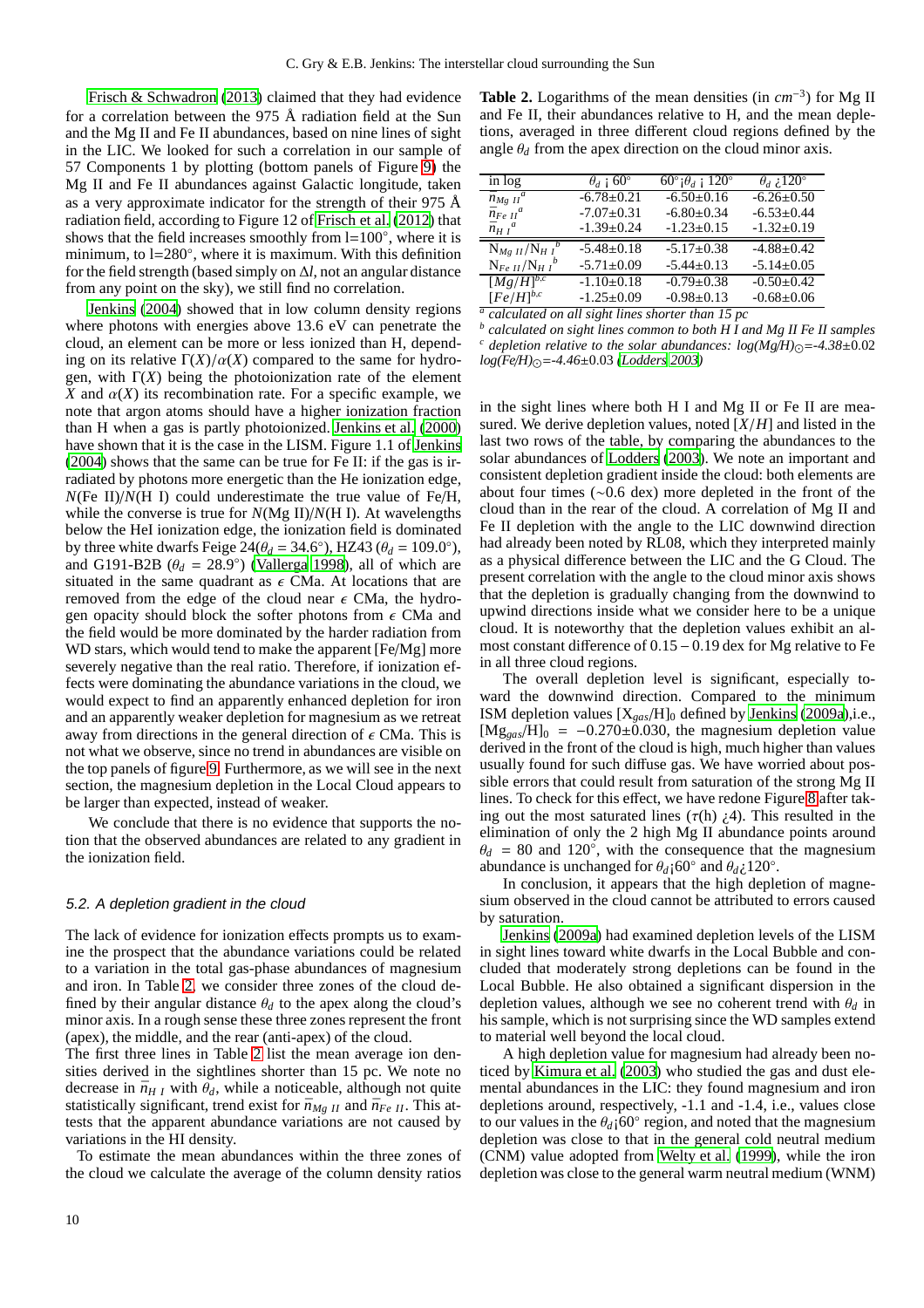[Frisch & Schwadron](#page-15-23) [\(2013\)](#page-15-23) claimed that they had evidence for a correlation between the 975 Å radiation field at the Sun and the Mg II and Fe II abundances, based on nine lines of sight in the LIC. We looked for such a correlation in our sample of 57 Components 1 by plotting (bottom panels of Figure [9\)](#page-8-1) the Mg II and Fe II abundances against Galactic longitude, taken as a very approximate indicator for the strength of their 975 Å radiation field, according to Figure 12 of [Frisch et al.](#page-15-22) [\(2012\)](#page-15-22) that shows that the field increases smoothly from  $l=100^\circ$ , where it is minimum, to l=280°, where it is maximum. With this definition for the field strength (based simply on ∆*l*, not an angular distance from any point on the sky), we still find no correlation.

[Jenkins](#page-15-24) [\(2004\)](#page-15-24) showed that in low column density regions where photons with energies above 13.6 eV can penetrate the cloud, an element can be more or less ionized than H, depending on its relative  $\Gamma(X)/\alpha(X)$  compared to the same for hydrogen, with  $\Gamma(X)$  being the photoionization rate of the element *X* and  $\alpha(X)$  its recombination rate. For a specific example, we note that argon atoms should have a higher ionization fraction than H when a gas is partly photoionized. [Jenkins et al.](#page-15-20) [\(2000\)](#page-15-20) have shown that it is the case in the LISM. Figure 1.1 of [Jenkins](#page-15-24) [\(2004\)](#page-15-24) shows that the same can be true for Fe II: if the gas is irradiated by photons more energetic than the He ionization edge, *N*(Fe II)/*N*(H I) could underestimate the true value of Fe/H, while the converse is true for *N*(Mg II)/*N*(H I). At wavelengths below the HeI ionization edge, the ionization field is dominated by three white dwarfs Feige  $24(\theta_d = 34.6^\circ)$ , HZ43 ( $\theta_d = 109.0^\circ$ ), and G191-B2B  $(\theta_d = 28.9^\circ)$  [\(Vallerga 1998\)](#page-15-21), all of which are situated in the same quadrant as  $\epsilon$  CMa. At locations that are removed from the edge of the cloud near  $\epsilon$  CMa, the hydrogen opacity should block the softer photons from  $\epsilon$  CMa and the field would be more dominated by the harder radiation from WD stars, which would tend to make the apparent [Fe/Mg] more severely negative than the real ratio. Therefore, if ionization effects were dominating the abundance variations in the cloud, we would expect to find an apparently enhanced depletion for iron and an apparently weaker depletion for magnesium as we retreat away from directions in the general direction of  $\epsilon$  CMa. This is not what we observe, since no trend in abundances are visible on the top panels of figure [9.](#page-8-1) Furthermore, as we will see in the next section, the magnesium depletion in the Local Cloud appears to be larger than expected, instead of weaker.

We conclude that there is no evidence that supports the notion that the observed abundances are related to any gradient in the ionization field.

#### 5.2. <sup>A</sup> depletion gradient in the cloud

The lack of evidence for ionization effects prompts us to examine the prospect that the abundance variations could be related to a variation in the total gas-phase abundances of magnesium and iron. In Table [2,](#page-9-0) we consider three zones of the cloud defined by their angular distance  $\theta_d$  to the apex along the cloud's minor axis. In a rough sense these three zones represent the front (apex), the middle, and the rear (anti-apex) of the cloud.

The first three lines in Table [2](#page-9-0) list the mean average ion densities derived in the sightlines shorter than 15 pc. We note no decrease in  $\bar{n}_{H I}$  with  $\theta_d$ , while a noticeable, although not quite statistically significant, trend exist for  $\bar{n}_{Mg II}$  and  $\bar{n}_{Fe II}$ . This attests that the apparent abundance variations are not caused by variations in the HI density.

To estimate the mean abundances within the three zones of the cloud we calculate the average of the column density ratios

<span id="page-9-0"></span>**Table 2.** Logarithms of the mean densities (in *cm*−<sup>3</sup> ) for Mg II and Fe II, their abundances relative to H, and the mean depletions, averaged in three different cloud regions defined by the angle  $\theta_d$  from the apex direction on the cloud minor axis.

| in log                                                        | $\theta_d$ i 60° | $60^\circ$ i $\theta_d$ i $120^\circ$ | $\theta_d$ i 120° |  |
|---------------------------------------------------------------|------------------|---------------------------------------|-------------------|--|
| $\bar{n}_{Me~II}^a$                                           | $-6.78 \pm 0.21$ | $-6.50 \pm 0.16$                      | $-6.26 \pm 0.50$  |  |
| $\bar{n}_{Fe II}^{a}$                                         | $-7.07 \pm 0.31$ | $-6.80 \pm 0.34$                      | $-6.53 \pm 0.44$  |  |
| $\bar{n}_{H I}^a$                                             | $-1.39+0.24$     | $-1.23 \pm 0.15$                      | $-1.32 \pm 0.19$  |  |
| $N_{Mg II}/N_{H I}^{b}$                                       | $-5.48 \pm 0.18$ | $-5.17+0.38$                          | $-4.88 \pm 0.42$  |  |
| $N_{Fe II}/N_{H I}^{b}$                                       | $-5.71 \pm 0.09$ | $-5.44 \pm 0.13$                      | $-5.14 \pm 0.05$  |  |
| $[Mg/H]^{b,c}$                                                | $-1.10+0.18$     | $-0.79+0.38$                          | $-0.50 \pm 0.42$  |  |
| $[Fe/H]^{b,c}$                                                | $-1.25 \pm 0.09$ | $-0.98 \pm 0.13$                      | $-0.68 + 0.06$    |  |
| <sup>a</sup> calculated on all sight lines shorter than 15 pc |                  |                                       |                   |  |

*calculated on all sight lines shorter than 15 pc*

*b calculated on sight lines common to both H I and Mg II Fe II samples <sup>c</sup> depletion relative to the solar abundances: log(Mg*/*H)*⊙=*-4.38*±0.02 *log(Fe*/*H)*⊙=*-4.46*±0.03 *[\(Lodders 2003\)](#page-15-25)*

in the sight lines where both H I and Mg II or Fe II are measured. We derive depletion values, noted [*X*/*H*] and listed in the last two rows of the table, by comparing the abundances to the solar abundances of [Lodders](#page-15-25) [\(2003\)](#page-15-25). We note an important and consistent depletion gradient inside the cloud: both elements are about four times (∼0.6 dex) more depleted in the front of the cloud than in the rear of the cloud. A correlation of Mg II and Fe II depletion with the angle to the LIC downwind direction had already been noted by RL08, which they interpreted mainly as a physical difference between the LIC and the G Cloud. The present correlation with the angle to the cloud minor axis shows that the depletion is gradually changing from the downwind to upwind directions inside what we consider here to be a unique cloud. It is noteworthy that the depletion values exhibit an almost constant difference of 0.15 −0.19 dex for Mg relative to Fe in all three cloud regions.

The overall depletion level is significant, especially toward the downwind direction. Compared to the minimum ISM depletion values [X*gas*/H]<sup>0</sup> defined by [Jenkins \(2009a](#page-15-26)),i.e.,  $[Mg_{gas}/H]_0$  =  $-0.270 \pm 0.030$ , the magnesium depletion value derived in the front of the cloud is high, much higher than values usually found for such diffuse gas. We have worried about possible errors that could result from saturation of the strong Mg II lines. To check for this effect, we have redone Figure [8](#page-8-0) after taking out the most saturated lines ( $\tau$ (h)  $\lambda$ <sup>2</sup>). This resulted in the elimination of only the 2 high Mg II abundance points around  $\theta_d$  = 80 and 120<sup>°</sup>, with the consequence that the magnesium abundance is unchanged for  $\theta_d$ <sup>o</sup>  $\theta_d$ <sup>o</sup> and  $\theta_d$ <sup>o</sup>  $\theta_d$ <sup>o</sup>.

In conclusion, it appears that the high depletion of magnesium observed in the cloud cannot be attributed to errors caused by saturation.

[Jenkins](#page-15-26) [\(2009a](#page-15-26)) had examined depletion levels of the LISM in sight lines toward white dwarfs in the Local Bubble and concluded that moderately strong depletions can be found in the Local Bubble. He also obtained a significant dispersion in the depletion values, although we see no coherent trend with θ*<sup>d</sup>* in his sample, which is not surprising since the WD samples extend to material well beyond the local cloud.

A high depletion value for magnesium had already been noticed by [Kimura et al.](#page-15-27) [\(2003\)](#page-15-27) who studied the gas and dust elemental abundances in the LIC: they found magnesium and iron depletions around, respectively, -1.1 and -1.4, i.e., values close to our values in the  $\theta_d$ <sup>o  $\theta_d$ </sup> region, and noted that the magnesium depletion was close to that in the general cold neutral medium (CNM) value adopted from [Welty et al. \(1999\)](#page-16-4), while the iron depletion was close to the general warm neutral medium (WNM)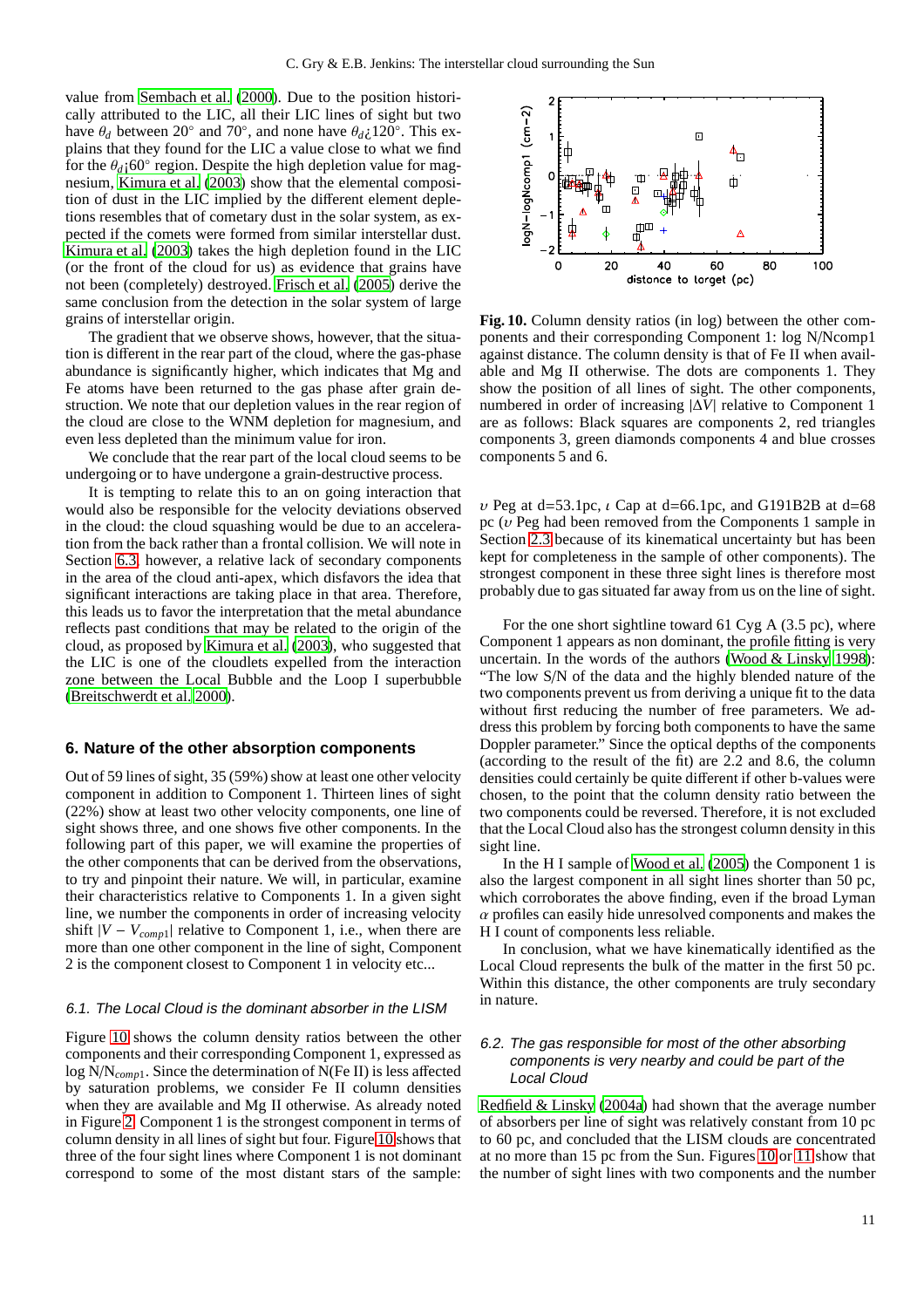value from [Sembach et al.](#page-15-28) [\(2000\)](#page-15-28). Due to the position historically attributed to the LIC, all their LIC lines of sight but two have  $\theta_d$  between 20° and 70°, and none have  $\theta_{d\dot{\theta}}$ 120°. This explains that they found for the LIC a value close to what we find for the  $\theta_d$ <sub>i</sub> 60° region. Despite the high depletion value for magnesium, [Kimura et al. \(2003\)](#page-15-27) show that the elemental composition of dust in the LIC implied by the different element depletions resembles that of cometary dust in the solar system, as expected if the comets were formed from similar interstellar dust. [Kimura et al. \(2003\)](#page-15-27) takes the high depletion found in the LIC (or the front of the cloud for us) as evidence that grains have not been (completely) destroyed. [Frisch et al. \(2005\)](#page-15-29) derive the same conclusion from the detection in the solar system of large grains of interstellar origin.

The gradient that we observe shows, however, that the situation is different in the rear part of the cloud, where the gas-phase abundance is significantly higher, which indicates that Mg and Fe atoms have been returned to the gas phase after grain destruction. We note that our depletion values in the rear region of the cloud are close to the WNM depletion for magnesium, and even less depleted than the minimum value for iron.

We conclude that the rear part of the local cloud seems to be undergoing or to have undergone a grain-destructive process.

It is tempting to relate this to an on going interaction that would also be responsible for the velocity deviations observed in the cloud: the cloud squashing would be due to an acceleration from the back rather than a frontal collision. We will note in Section [6.3,](#page-11-0) however, a relative lack of secondary components in the area of the cloud anti-apex, which disfavors the idea that significant interactions are taking place in that area. Therefore, this leads us to favor the interpretation that the metal abundance reflects past conditions that may be related to the origin of the cloud, as proposed by [Kimura et al. \(2003\)](#page-15-27), who suggested that the LIC is one of the cloudlets expelled from the interaction zone between the Local Bubble and the Loop I superbubble [\(Breitschwerdt et al. 2000\)](#page-15-30).

#### **6. Nature of the other absorption components**

Out of 59 lines of sight, 35 (59%) show at least one other velocity component in addition to Component 1. Thirteen lines of sight (22%) show at least two other velocity components, one line of sight shows three, and one shows five other components. In the following part of this paper, we will examine the properties of the other components that can be derived from the observations, to try and pinpoint their nature. We will, in particular, examine their characteristics relative to Components 1. In a given sight line, we number the components in order of increasing velocity shift  $|V - V_{\text{comp1}}|$  relative to Component 1, i.e., when there are more than one other component in the line of sight, Component 2 is the component closest to Component 1 in velocity etc...

#### <span id="page-10-1"></span>6.1. The Local Cloud is the dominant absorber in the LISM

Figure [10](#page-10-0) shows the column density ratios between the other components and their corresponding Component 1, expressed as log N/N*comp*<sup>1</sup>. Since the determination of N(Fe II) is less affected by saturation problems, we consider Fe II column densities when they are available and Mg II otherwise. As already noted in Figure [2,](#page-4-0) Component 1 is the strongest component in terms of column density in all lines of sight but four. Figure [10](#page-10-0) shows that three of the four sight lines where Component 1 is not dominant correspond to some of the most distant stars of the sample:



<span id="page-10-0"></span>**Fig. 10.** Column density ratios (in log) between the other components and their corresponding Component 1: log N/Ncomp1 against distance. The column density is that of Fe II when available and Mg II otherwise. The dots are components 1. They show the position of all lines of sight. The other components, numbered in order of increasing |∆*V*| relative to Component 1 are as follows: Black squares are components 2, red triangles components 3, green diamonds components 4 and blue crosses components 5 and 6.

υ Peg at d=53.1pc,  $\iota$  Cap at d=66.1pc, and G191B2B at d=68 pc (υ Peg had been removed from the Components 1 sample in Section [2.3](#page-2-2) because of its kinematical uncertainty but has been kept for completeness in the sample of other components). The strongest component in these three sight lines is therefore most probably due to gas situated far away from us on the line of sight.

For the one short sightline toward 61 Cyg A (3.5 pc), where Component 1 appears as non dominant, the profile fitting is very uncertain. In the words of the authors [\(Wood & Linsky 1998\)](#page-16-5): "The low S/N of the data and the highly blended nature of the two components prevent us from deriving a unique fit to the data without first reducing the number of free parameters. We address this problem by forcing both components to have the same Doppler parameter." Since the optical depths of the components (according to the result of the fit) are 2.2 and 8.6, the column densities could certainly be quite different if other b-values were chosen, to the point that the column density ratio between the two components could be reversed. Therefore, it is not excluded that the Local Cloud also has the strongest column density in this sight line.

In the H I sample of [Wood et al. \(2005](#page-16-0)) the Component 1 is also the largest component in all sight lines shorter than 50 pc, which corroborates the above finding, even if the broad Lyman  $\alpha$  profiles can easily hide unresolved components and makes the H I count of components less reliable.

In conclusion, what we have kinematically identified as the Local Cloud represents the bulk of the matter in the first 50 pc. Within this distance, the other components are truly secondary in nature.

# 6.2. The gas responsible for most of the other absorbing components is very nearby and could be part of the Local Cloud

[Redfield & Linsky \(2004a\)](#page-15-5) had shown that the average number of absorbers per line of sight was relatively constant from 10 pc to 60 pc, and concluded that the LISM clouds are concentrated at no more than 15 pc from the Sun. Figures [10](#page-10-0) or [11](#page-11-1) show that the number of sight lines with two components and the number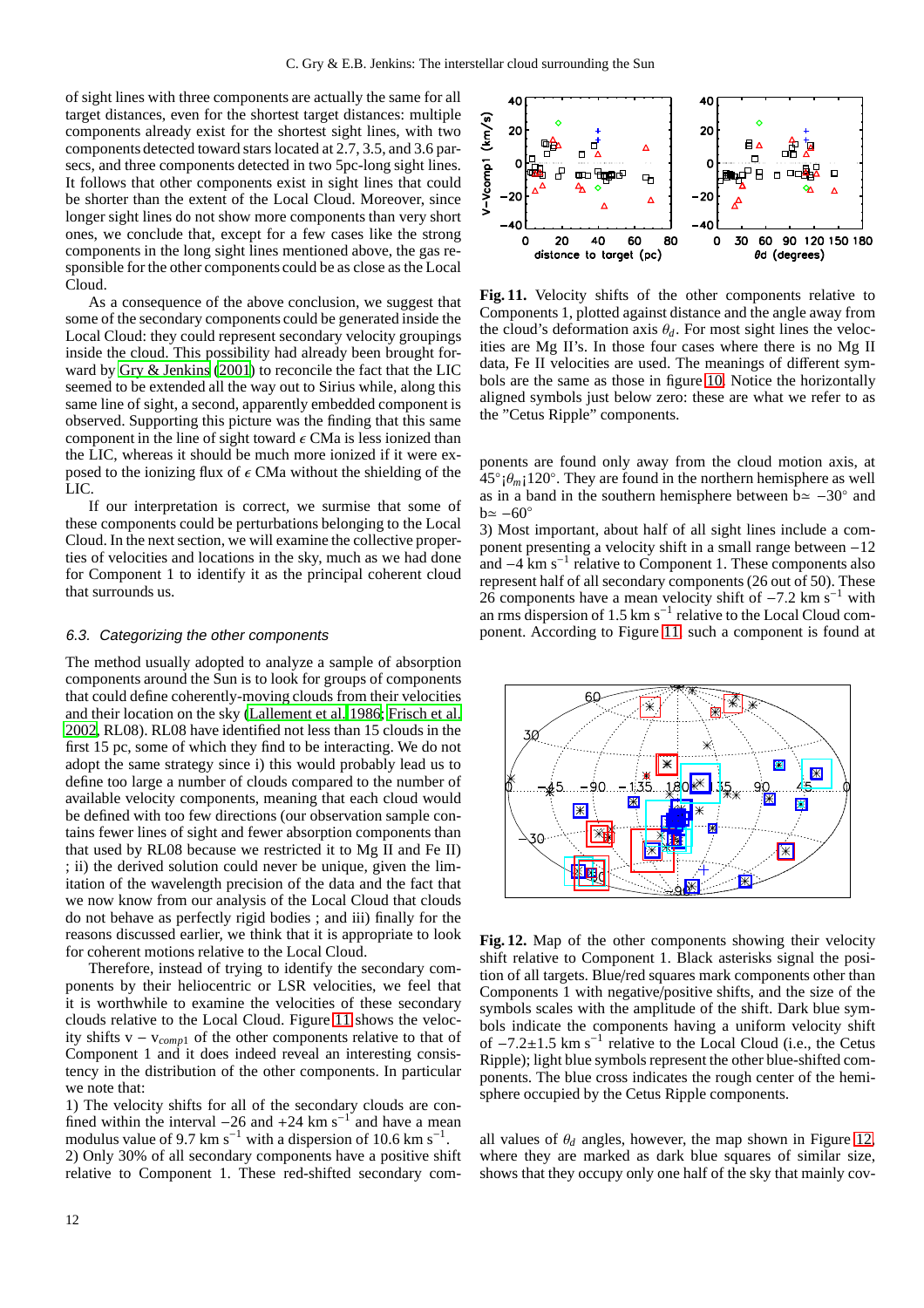of sight lines with three components are actually the same for all target distances, even for the shortest target distances: multiple components already exist for the shortest sight lines, with two components detected toward stars located at 2.7, 3.5, and 3.6 parsecs, and three components detected in two 5pc-long sight lines. It follows that other components exist in sight lines that could be shorter than the extent of the Local Cloud. Moreover, since longer sight lines do not show more components than very short ones, we conclude that, except for a few cases like the strong components in the long sight lines mentioned above, the gas responsible for the other components could be as close as the Local Cloud.

As a consequence of the above conclusion, we suggest that some of the secondary components could be generated inside the Local Cloud: they could represent secondary velocity groupings inside the cloud. This possibility had already been brought forward by [Gry & Jenkins \(2001](#page-15-31)) to reconcile the fact that the LIC seemed to be extended all the way out to Sirius while, along this same line of sight, a second, apparently embedded component is observed. Supporting this picture was the finding that this same component in the line of sight toward  $\epsilon$  CMa is less ionized than the LIC, whereas it should be much more ionized if it were exposed to the ionizing flux of  $\epsilon$  CMa without the shielding of the LIC.

If our interpretation is correct, we surmise that some of these components could be perturbations belonging to the Local Cloud. In the next section, we will examine the collective properties of velocities and locations in the sky, much as we had done for Component 1 to identify it as the principal coherent cloud that surrounds us.

#### <span id="page-11-0"></span>6.3. Categorizing the other components

The method usually adopted to analyze a sample of absorption components around the Sun is to look for groups of components that could define coherently-moving clouds from their velocities and their location on the sky [\(Lallement et al. 1986](#page-15-32); [Frisch et al.](#page-15-3) [2002](#page-15-3), RL08). RL08 have identified not less than 15 clouds in the first 15 pc, some of which they find to be interacting. We do not adopt the same strategy since i) this would probably lead us to define too large a number of clouds compared to the number of available velocity components, meaning that each cloud would be defined with too few directions (our observation sample contains fewer lines of sight and fewer absorption components than that used by RL08 because we restricted it to Mg II and Fe II) ; ii) the derived solution could never be unique, given the limitation of the wavelength precision of the data and the fact that we now know from our analysis of the Local Cloud that clouds do not behave as perfectly rigid bodies ; and iii) finally for the reasons discussed earlier, we think that it is appropriate to look for coherent motions relative to the Local Cloud.

Therefore, instead of trying to identify the secondary components by their heliocentric or LSR velocities, we feel that it is worthwhile to examine the velocities of these secondary clouds relative to the Local Cloud. Figure [11](#page-11-1) shows the velocity shifts v − v*comp*<sup>1</sup> of the other components relative to that of Component 1 and it does indeed reveal an interesting consistency in the distribution of the other components. In particular we note that:

1) The velocity shifts for all of the secondary clouds are confined within the interval  $-26$  and  $+24$  km s<sup>-1</sup> and have a mean modulus value of 9.7 km s<sup>-1</sup> with a dispersion of 10.6 km s<sup>-1</sup>. 2) Only 30% of all secondary components have a positive shift relative to Component 1. These red-shifted secondary com-



<span id="page-11-1"></span>**Fig. 11.** Velocity shifts of the other components relative to Components 1, plotted against distance and the angle away from the cloud's deformation axis  $\theta_d$ . For most sight lines the velocities are Mg II's. In those four cases where there is no Mg II data, Fe II velocities are used. The meanings of different symbols are the same as those in figure [10.](#page-10-0) Notice the horizontally aligned symbols just below zero: these are what we refer to as the "Cetus Ripple" components.

ponents are found only away from the cloud motion axis, at  $45^\circ$ ; $\theta_m$ ; 120°. They are found in the northern hemisphere as well as in a band in the southern hemisphere between b≃ -30° and  $b \approx -60^\circ$ 

3) Most important, about half of all sight lines include a component presenting a velocity shift in a small range between −12 and  $-4 \text{ km s}^{-1}$  relative to Component 1. These components also represent half of all secondary components (26 out of 50). These 26 components have a mean velocity shift of  $-7.2 \text{ km s}^{-1}$  with an rms dispersion of 1.5  $km s^{-1}$  relative to the Local Cloud component. According to Figure [11,](#page-11-1) such a component is found at



<span id="page-11-2"></span>**Fig. 12.** Map of the other components showing their velocity shift relative to Component 1. Black asterisks signal the position of all targets. Blue/red squares mark components other than Components 1 with negative/positive shifts, and the size of the symbols scales with the amplitude of the shift. Dark blue symbols indicate the components having a uniform velocity shift of  $-7.2\pm1.5$  km s<sup>-1</sup> relative to the Local Cloud (i.e., the Cetus Ripple); light blue symbols represent the other blue-shifted components. The blue cross indicates the rough center of the hemisphere occupied by the Cetus Ripple components.

all values of  $\theta_d$  angles, however, the map shown in Figure [12,](#page-11-2) where they are marked as dark blue squares of similar size, shows that they occupy only one half of the sky that mainly cov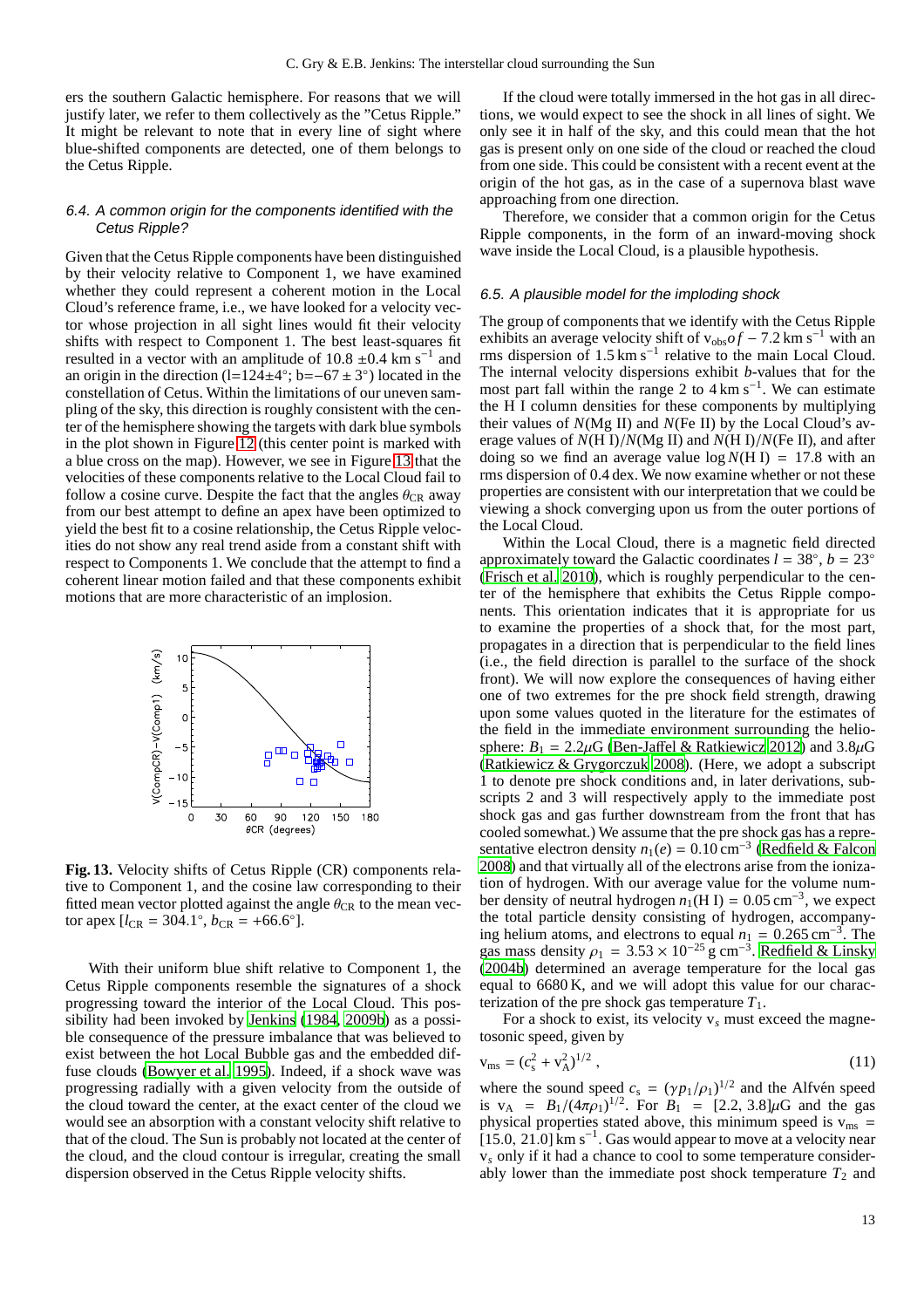ers the southern Galactic hemisphere. For reasons that we will justify later, we refer to them collectively as the "Cetus Ripple." It might be relevant to note that in every line of sight where blue-shifted components are detected, one of them belongs to the Cetus Ripple.

## 6.4. <sup>A</sup> common origin for the components identified with the Cetus Ripple?

Given that the Cetus Ripple components have been distinguished by their velocity relative to Component 1, we have examined whether they could represent a coherent motion in the Local Cloud's reference frame, i.e., we have looked for a velocity vector whose projection in all sight lines would fit their velocity shifts with respect to Component 1. The best least-squares fit resulted in a vector with an amplitude of 10.8  $\pm$ 0.4 km s<sup>-1</sup> and an origin in the direction (l=124 $\pm$ 4°; b=-67 $\pm$ 3°) located in the constellation of Cetus. Within the limitations of our uneven sampling of the sky, this direction is roughly consistent with the center of the hemisphere showing the targets with dark blue symbols in the plot shown in Figure [12](#page-11-2) (this center point is marked with a blue cross on the map). However, we see in Figure [13](#page-12-0) that the velocities of these components relative to the Local Cloud fail to follow a cosine curve. Despite the fact that the angles  $\theta_{CR}$  away from our best attempt to define an apex have been optimized to yield the best fit to a cosine relationship, the Cetus Ripple velocities do not show any real trend aside from a constant shift with respect to Components 1. We conclude that the attempt to find a coherent linear motion failed and that these components exhibit motions that are more characteristic of an implosion.



<span id="page-12-0"></span>**Fig. 13.** Velocity shifts of Cetus Ripple (CR) components relative to Component 1, and the cosine law corresponding to their fitted mean vector plotted against the angle  $\theta_{CR}$  to the mean vector apex  $[l_{CR} = 304.1^{\circ}, b_{CR} = +66.6^{\circ}].$ 

With their uniform blue shift relative to Component 1, the Cetus Ripple components resemble the signatures of a shock progressing toward the interior of the Local Cloud. This possibility had been invoked by [Jenkins \(1984,](#page-15-33) [2009b\)](#page-15-34) as a possible consequence of the pressure imbalance that was believed to exist between the hot Local Bubble gas and the embedded diffuse clouds [\(Bowyer et al. 1995\)](#page-15-35). Indeed, if a shock wave was progressing radially with a given velocity from the outside of the cloud toward the center, at the exact center of the cloud we would see an absorption with a constant velocity shift relative to that of the cloud. The Sun is probably not located at the center of the cloud, and the cloud contour is irregular, creating the small dispersion observed in the Cetus Ripple velocity shifts.

If the cloud were totally immersed in the hot gas in all directions, we would expect to see the shock in all lines of sight. We only see it in half of the sky, and this could mean that the hot gas is present only on one side of the cloud or reached the cloud from one side. This could be consistent with a recent event at the origin of the hot gas, as in the case of a supernova blast wave approaching from one direction.

Therefore, we consider that a common origin for the Cetus Ripple components, in the form of an inward-moving shock wave inside the Local Cloud, is a plausible hypothesis.

#### 6.5. <sup>A</sup> plausible model for the imploding shock

The group of components that we identify with the Cetus Ripple exhibits an average velocity shift of v<sub>obs</sub> $of -7.2$  km s<sup>-1</sup> with an rms dispersion of  $1.5 \text{ km s}^{-1}$  relative to the main Local Cloud. The internal velocity dispersions exhibit *b*-values that for the most part fall within the range 2 to  $4 \text{ km s}^{-1}$ . We can estimate the H I column densities for these components by multiplying their values of *N*(Mg II) and *N*(Fe II) by the Local Cloud's average values of *N*(H I)/*N*(Mg II) and *N*(H I)/*N*(Fe II), and after doing so we find an average value  $log N(H I) = 17.8$  with an rms dispersion of 0.4 dex. We now examine whether or not these properties are consistent with our interpretation that we could be viewing a shock converging upon us from the outer portions of the Local Cloud.

Within the Local Cloud, there is a magnetic field directed approximately toward the Galactic coordinates  $l = 38^\circ$ ,  $b = 23^\circ$ [\(Frisch et al. 2010](#page-15-36)), which is roughly perpendicular to the center of the hemisphere that exhibits the Cetus Ripple components. This orientation indicates that it is appropriate for us to examine the properties of a shock that, for the most part, propagates in a direction that is perpendicular to the field lines (i.e., the field direction is parallel to the surface of the shock front). We will now explore the consequences of having either one of two extremes for the pre shock field strength, drawing upon some values quoted in the literature for the estimates of the field in the immediate environment surrounding the heliosphere:  $B_1 = 2.2 \mu G$  (Ben-Jaff[el & Ratkiewicz 2012\)](#page-15-37) and 3.8 $\mu G$ [\(Ratkiewicz & Grygorczuk 2008\)](#page-15-38). (Here, we adopt a subscript 1 to denote pre shock conditions and, in later derivations, subscripts 2 and 3 will respectively apply to the immediate post shock gas and gas further downstream from the front that has cooled somewhat.) We assume that the pre shock gas has a representative electron density  $n_1(e) = 0.10 \text{ cm}^{-3}$  [\(Redfield & Falcon](#page-15-39) [2008\)](#page-15-39) and that virtually all of the electrons arise from the ionization of hydrogen. With our average value for the volume number density of neutral hydrogen  $n_1(H I) = 0.05$  cm<sup>-3</sup>, we expect the total particle density consisting of hydrogen, accompanying helium atoms, and electrons to equal  $n_1 = 0.265 \text{ cm}^{-3}$ . The gas mass density  $\rho_1 = 3.53 \times 10^{-25}$  g cm<sup>-3</sup>. [Redfield & Linsky](#page-15-40) [\(2004b](#page-15-40)) determined an average temperature for the local gas equal to 6680 K, and we will adopt this value for our characterization of the pre shock gas temperature  $T_1$ .

For a shock to exist, its velocity v*<sup>s</sup>* must exceed the magnetosonic speed, given by

$$
v_{\rm ms} = (c_s^2 + v_A^2)^{1/2},\tag{11}
$$

where the sound speed  $c_s = (\gamma p_1/\rho_1)^{1/2}$  and the Alfvén speed is  $v_A = B_1/(4\pi\rho_1)^{1/2}$ . For  $B_1 = [2.2, 3.8] \mu G$  and the gas physical properties stated above, this minimum speed is  $v_{\text{ms}}$  =  $[15.0, 21.0]$  km s<sup>-1</sup>. Gas would appear to move at a velocity near v*<sup>s</sup>* only if it had a chance to cool to some temperature considerably lower than the immediate post shock temperature  $T_2$  and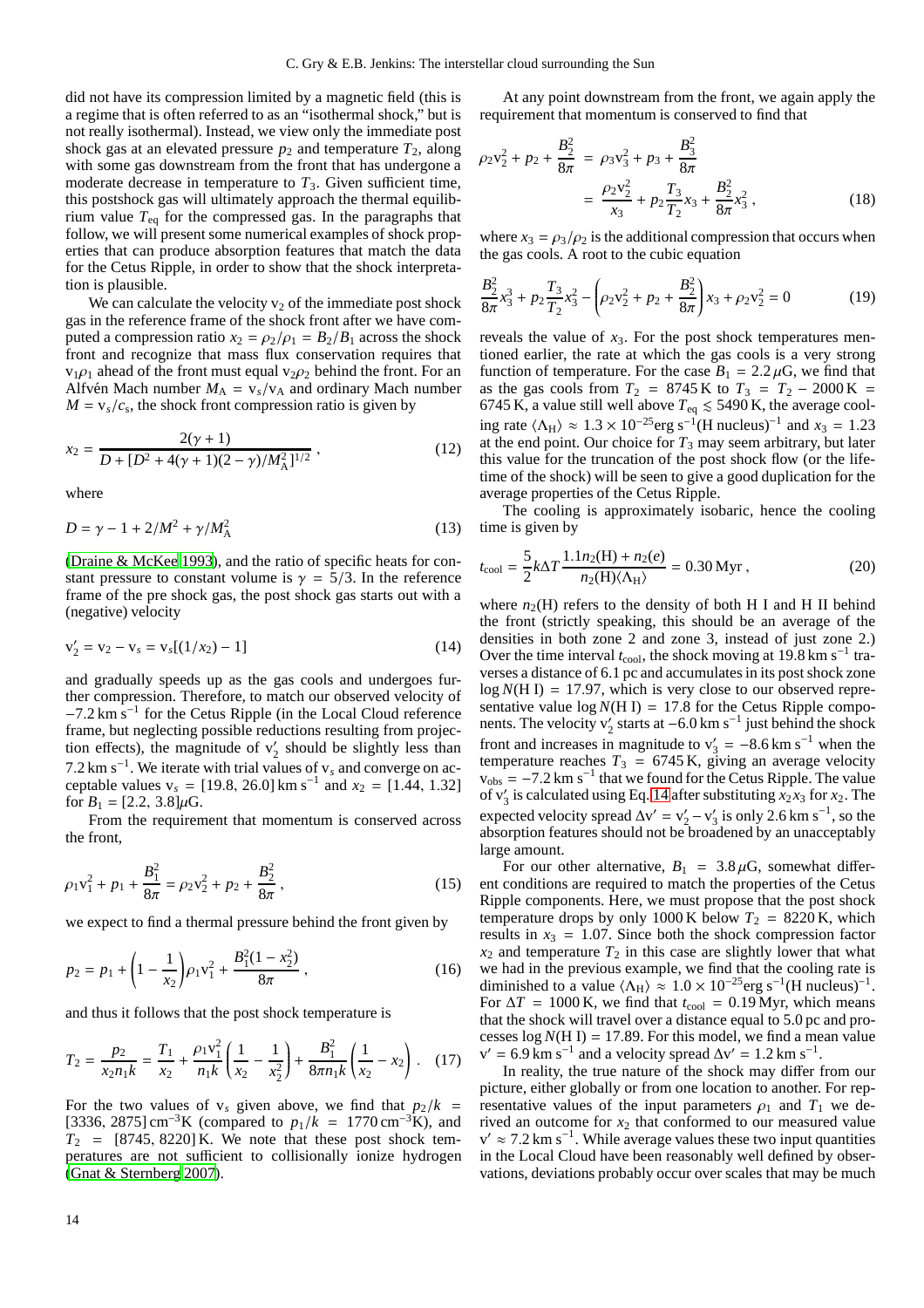did not have its compression limited by a magnetic field (this is a regime that is often referred to as an "isothermal shock," but is not really isothermal). Instead, we view only the immediate post shock gas at an elevated pressure  $p_2$  and temperature  $T_2$ , along with some gas downstream from the front that has undergone a moderate decrease in temperature to  $T_3$ . Given sufficient time, this postshock gas will ultimately approach the thermal equilibrium value *T*eq for the compressed gas. In the paragraphs that follow, we will present some numerical examples of shock properties that can produce absorption features that match the data for the Cetus Ripple, in order to show that the shock interpretation is plausible.

We can calculate the velocity  $v_2$  of the immediate post shock gas in the reference frame of the shock front after we have computed a compression ratio  $x_2 = \rho_2/\rho_1 = B_2/B_1$  across the shock front and recognize that mass flux conservation requires that  $v_1 \rho_1$  ahead of the front must equal  $v_2 \rho_2$  behind the front. For an Alfvén Mach number  $M_A = v_s/v_A$  and ordinary Mach number  $M = v_s/c_s$ , the shock front compression ratio is given by

$$
x_2 = \frac{2(\gamma + 1)}{D + [D^2 + 4(\gamma + 1)(2 - \gamma)/M_A^2]^{1/2}},
$$
\n(12)

where

$$
D = \gamma - 1 + 2/M^2 + \gamma/M_A^2
$$
 (13)

[\(Draine & McKee 1993\)](#page-15-41), and the ratio of specific heats for constant pressure to constant volume is  $\gamma = 5/3$ . In the reference frame of the pre shock gas, the post shock gas starts out with a (negative) velocity

<span id="page-13-0"></span>
$$
v'_2 = v_2 - v_s = v_s[(1/x_2) - 1]
$$
 (14)

and gradually speeds up as the gas cools and undergoes further compression. Therefore, to match our observed velocity of −7.2 km s−<sup>1</sup> for the Cetus Ripple (in the Local Cloud reference frame, but neglecting possible reductions resulting from projection effects), the magnitude of  $v'_2$  should be slightly less than 7.2 km s−<sup>1</sup> . We iterate with trial values of v*<sup>s</sup>* and converge on acceptable values  $v_s = [19.8, 26.0] \text{ km s}^{-1}$  and  $x_2 = [1.44, 1.32]$ for  $B_1 = [2.2, 3.8] \mu$ G.

From the requirement that momentum is conserved across the front,

$$
\rho_1 \mathbf{v}_1^2 + p_1 + \frac{B_1^2}{8\pi} = \rho_2 \mathbf{v}_2^2 + p_2 + \frac{B_2^2}{8\pi} \,,\tag{15}
$$

we expect to find a thermal pressure behind the front given by

$$
p_2 = p_1 + \left(1 - \frac{1}{x_2}\right) \rho_1 v_1^2 + \frac{B_1^2 (1 - x_2^2)}{8\pi} ,\qquad (16)
$$

and thus it follows that the post shock temperature is

$$
T_2 = \frac{p_2}{x_2 n_1 k} = \frac{T_1}{x_2} + \frac{\rho_1 v_1^2}{n_1 k} \left( \frac{1}{x_2} - \frac{1}{x_2^2} \right) + \frac{B_1^2}{8\pi n_1 k} \left( \frac{1}{x_2} - x_2 \right). \tag{17}
$$

For the two values of  $v_s$  given above, we find that  $p_2/k =$ [3336, 2875] cm<sup>-3</sup>K (compared to  $p_1/k = 1770 \text{ cm}^{-3}$ K), and  $T_2$  = [8745, 8220] K. We note that these post shock temperatures are not sufficient to collisionally ionize hydrogen [\(Gnat & Sternberg 2007\)](#page-15-42).

At any point downstream from the front, we again apply the requirement that momentum is conserved to find that

$$
\rho_2 v_2^2 + p_2 + \frac{B_2^2}{8\pi} = \rho_3 v_3^2 + p_3 + \frac{B_3^2}{8\pi}
$$
  
= 
$$
\frac{\rho_2 v_2^2}{x_3} + p_2 \frac{T_3}{T_2} x_3 + \frac{B_2^2}{8\pi} x_3^2,
$$
 (18)

where  $x_3 = \rho_3/\rho_2$  is the additional compression that occurs when the gas cools. A root to the cubic equation

$$
\frac{B_2^2}{8\pi}x_3^3 + p_2\frac{T_3}{T_2}x_3^2 - \left(\rho_2v_2^2 + p_2 + \frac{B_2^2}{8\pi}\right)x_3 + \rho_2v_2^2 = 0\tag{19}
$$

reveals the value of  $x_3$ . For the post shock temperatures mentioned earlier, the rate at which the gas cools is a very strong function of temperature. For the case  $B_1 = 2.2 \mu G$ , we find that as the gas cools from  $T_2 = 8745$  K to  $T_3 = T_2 - 2000$  K = 6745 K, a value still well above  $T_{eq} \leq 5490$  K, the average cooling rate  $\langle \Lambda_H \rangle \approx 1.3 \times 10^{-25}$ erg s<sup>-1</sup>(H nucleus)<sup>-1</sup> and *x*<sub>3</sub> = 1.23 at the end point. Our choice for  $T_3$  may seem arbitrary, but later this value for the truncation of the post shock flow (or the lifetime of the shock) will be seen to give a good duplication for the average properties of the Cetus Ripple.

The cooling is approximately isobaric, hence the cooling time is given by

$$
t_{\text{cool}} = \frac{5}{2}k\Delta T \frac{1.1n_2(\text{H}) + n_2(e)}{n_2(\text{H})(\Lambda_{\text{H}})} = 0.30 \text{ Myr},\tag{20}
$$

where  $n_2(H)$  refers to the density of both H I and H II behind the front (strictly speaking, this should be an average of the densities in both zone 2 and zone 3, instead of just zone 2.) Over the time interval  $t_{\text{cool}}$ , the shock moving at 19.8 km s<sup>-1</sup> traverses a distance of 6.1 pc and accumulates in its post shock zone  $log N(H I) = 17.97$ , which is very close to our observed representative value  $\log N(H I) = 17.8$  for the Cetus Ripple components. The velocity  $v'_2$  starts at −6.0 km s<sup>-1</sup> just behind the shock front and increases in magnitude to  $v'_3 = -8.6 \text{ km s}^{-1}$  when the temperature reaches  $T_3 = 6745$  K, giving an average velocity  $v_{\text{obs}} = -7.2 \text{ km s}^{-1}$  that we found for the Cetus Ripple. The value of  $v'_3$  is calculated using Eq. [14](#page-13-0) after substituting  $\overline{x_2x_3}$  for  $x_2$ . The expected velocity spread  $\Delta v' = v'_2 - v'_3$  is only 2.6 km s<sup>-1</sup>, so the absorption features should not be broadened by an unacceptably large amount.

For our other alternative,  $B_1 = 3.8 \,\mu\text{G}$ , somewhat different conditions are required to match the properties of the Cetus Ripple components. Here, we must propose that the post shock temperature drops by only 1000 K below  $T_2 = 8220$  K, which results in  $x_3 = 1.07$ . Since both the shock compression factor  $x_2$  and temperature  $T_2$  in this case are slightly lower that what we had in the previous example, we find that the cooling rate is diminished to a value  $\langle \Lambda_H \rangle \approx 1.0 \times 10^{-25}$ erg s<sup>-1</sup>(H nucleus)<sup>-1</sup>. For  $\Delta T = 1000$  K, we find that  $t_{\text{cool}} = 0.19$  Myr, which means that the shock will travel over a distance equal to 5.0 pc and processes  $log N(H I) = 17.89$ . For this model, we find a mean value  $v' = 6.9$  km s<sup>-1</sup> and a velocity spread  $\Delta v' = 1.2$  km s<sup>-1</sup>.

In reality, the true nature of the shock may differ from our picture, either globally or from one location to another. For representative values of the input parameters  $\rho_1$  and  $T_1$  we derived an outcome for *x*<sup>2</sup> that conformed to our measured value  $v' \approx 7.2$  km s<sup>-1</sup>. While average values these two input quantities in the Local Cloud have been reasonably well defined by observations, deviations probably occur over scales that may be much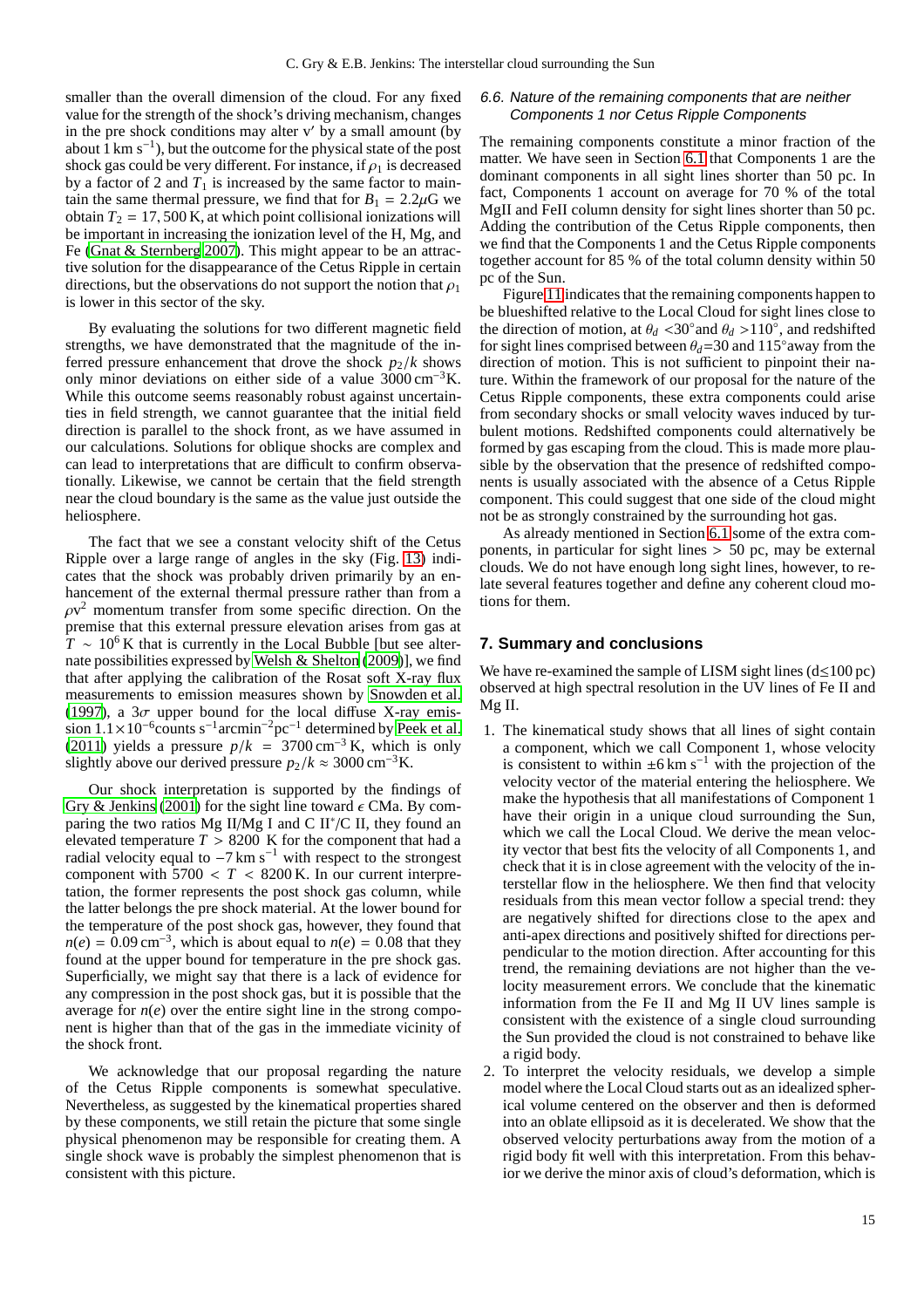smaller than the overall dimension of the cloud. For any fixed value for the strength of the shock's driving mechanism, changes in the pre shock conditions may alter v′ by a small amount (by about  $1 \text{ km s}^{-1}$ ), but the outcome for the physical state of the post shock gas could be very different. For instance, if  $\rho_1$  is decreased by a factor of 2 and  $T_1$  is increased by the same factor to maintain the same thermal pressure, we find that for  $B_1 = 2.2 \mu G$  we obtain  $T_2 = 17,500$  K, at which point collisional ionizations will be important in increasing the ionization level of the H, Mg, and Fe [\(Gnat & Sternberg 2007\)](#page-15-42). This might appear to be an attractive solution for the disappearance of the Cetus Ripple in certain directions, but the observations do not support the notion that  $\rho_1$ is lower in this sector of the sky.

By evaluating the solutions for two different magnetic field strengths, we have demonstrated that the magnitude of the inferred pressure enhancement that drove the shock  $p_2/k$  shows only minor deviations on either side of a value  $3000 \text{ cm}^{-3}$ K. While this outcome seems reasonably robust against uncertainties in field strength, we cannot guarantee that the initial field direction is parallel to the shock front, as we have assumed in our calculations. Solutions for oblique shocks are complex and can lead to interpretations that are difficult to confirm observationally. Likewise, we cannot be certain that the field strength near the cloud boundary is the same as the value just outside the heliosphere.

The fact that we see a constant velocity shift of the Cetus Ripple over a large range of angles in the sky (Fig. [13\)](#page-12-0) indicates that the shock was probably driven primarily by an enhancement of the external thermal pressure rather than from a  $\rho v^2$  momentum transfer from some specific direction. On the premise that this external pressure elevation arises from gas at  $T \sim 10^6$  K that is currently in the Local Bubble [but see alternate possibilities expressed by [Welsh & Shelton](#page-16-6) [\(2009\)](#page-16-6)], we find that after applying the calibration of the Rosat soft X-ray flux measurements to emission measures shown by [Snowden et al.](#page-15-43) [\(1997\)](#page-15-43), a  $3\sigma$  upper bound for the local diffuse X-ray emission  $1.1 \times 10^{-6}$ counts s<sup>-1</sup> arcmin<sup>-2</sup>pc<sup>-1</sup> determined by [Peek et al.](#page-15-44) [\(2011\)](#page-15-44) yields a pressure  $p/k = 3700 \text{ cm}^{-3} \text{ K}$ , which is only slightly above our derived pressure  $p_2/k \approx 3000 \text{ cm}^{-3}\text{K}$ .

Our shock interpretation is supported by the findings of [Gry & Jenkins \(2001](#page-15-31)) for the sight line toward  $\epsilon$  CMa. By comparing the two ratios Mg II/Mg I and C II<sup>∗</sup>/C II, they found an elevated temperature  $T > 8200$  K for the component that had a radial velocity equal to  $-7 \text{ km s}^{-1}$  with respect to the strongest component with  $5700 < T < 8200$  K. In our current interpretation, the former represents the post shock gas column, while the latter belongs the pre shock material. At the lower bound for the temperature of the post shock gas, however, they found that  $n(e) = 0.09 \text{ cm}^{-3}$ , which is about equal to  $n(e) = 0.08$  that they found at the upper bound for temperature in the pre shock gas. Superficially, we might say that there is a lack of evidence for any compression in the post shock gas, but it is possible that the average for  $n(e)$  over the entire sight line in the strong component is higher than that of the gas in the immediate vicinity of the shock front.

We acknowledge that our proposal regarding the nature of the Cetus Ripple components is somewhat speculative. Nevertheless, as suggested by the kinematical properties shared by these components, we still retain the picture that some single physical phenomenon may be responsible for creating them. A single shock wave is probably the simplest phenomenon that is consistent with this picture.

# 6.6. Nature of the remaining components that are neither Components <sup>1</sup> nor Cetus Ripple Components

The remaining components constitute a minor fraction of the matter. We have seen in Section [6.1](#page-10-1) that Components 1 are the dominant components in all sight lines shorter than 50 pc. In fact, Components 1 account on average for 70 % of the total MgII and FeII column density for sight lines shorter than 50 pc. Adding the contribution of the Cetus Ripple components, then we find that the Components 1 and the Cetus Ripple components together account for 85 % of the total column density within 50 pc of the Sun.

Figure [11](#page-11-1) indicates that the remaining components happen to be blueshifted relative to the Local Cloud for sight lines close to the direction of motion, at  $\theta_d$  <30° and  $\theta_d$  >110°, and redshifted for sight lines comprised between  $\theta_d$ =30 and 115° away from the direction of motion. This is not sufficient to pinpoint their nature. Within the framework of our proposal for the nature of the Cetus Ripple components, these extra components could arise from secondary shocks or small velocity waves induced by turbulent motions. Redshifted components could alternatively be formed by gas escaping from the cloud. This is made more plausible by the observation that the presence of redshifted components is usually associated with the absence of a Cetus Ripple component. This could suggest that one side of the cloud might not be as strongly constrained by the surrounding hot gas.

As already mentioned in Section [6.1](#page-10-1) some of the extra components, in particular for sight lines > 50 pc, may be external clouds. We do not have enough long sight lines, however, to relate several features together and define any coherent cloud motions for them.

#### **7. Summary and conclusions**

We have re-examined the sample of LISM sight lines  $(d \le 100 \text{ pc})$ observed at high spectral resolution in the UV lines of Fe II and Mg II.

- 1. The kinematical study shows that all lines of sight contain a component, which we call Component 1, whose velocity is consistent to within  $\pm 6 \text{ km s}^{-1}$  with the projection of the velocity vector of the material entering the heliosphere. We make the hypothesis that all manifestations of Component 1 have their origin in a unique cloud surrounding the Sun, which we call the Local Cloud. We derive the mean velocity vector that best fits the velocity of all Components 1, and check that it is in close agreement with the velocity of the interstellar flow in the heliosphere. We then find that velocity residuals from this mean vector follow a special trend: they are negatively shifted for directions close to the apex and anti-apex directions and positively shifted for directions perpendicular to the motion direction. After accounting for this trend, the remaining deviations are not higher than the velocity measurement errors. We conclude that the kinematic information from the Fe II and Mg II UV lines sample is consistent with the existence of a single cloud surrounding the Sun provided the cloud is not constrained to behave like a rigid body.
- 2. To interpret the velocity residuals, we develop a simple model where the Local Cloud starts out as an idealized spherical volume centered on the observer and then is deformed into an oblate ellipsoid as it is decelerated. We show that the observed velocity perturbations away from the motion of a rigid body fit well with this interpretation. From this behavior we derive the minor axis of cloud's deformation, which is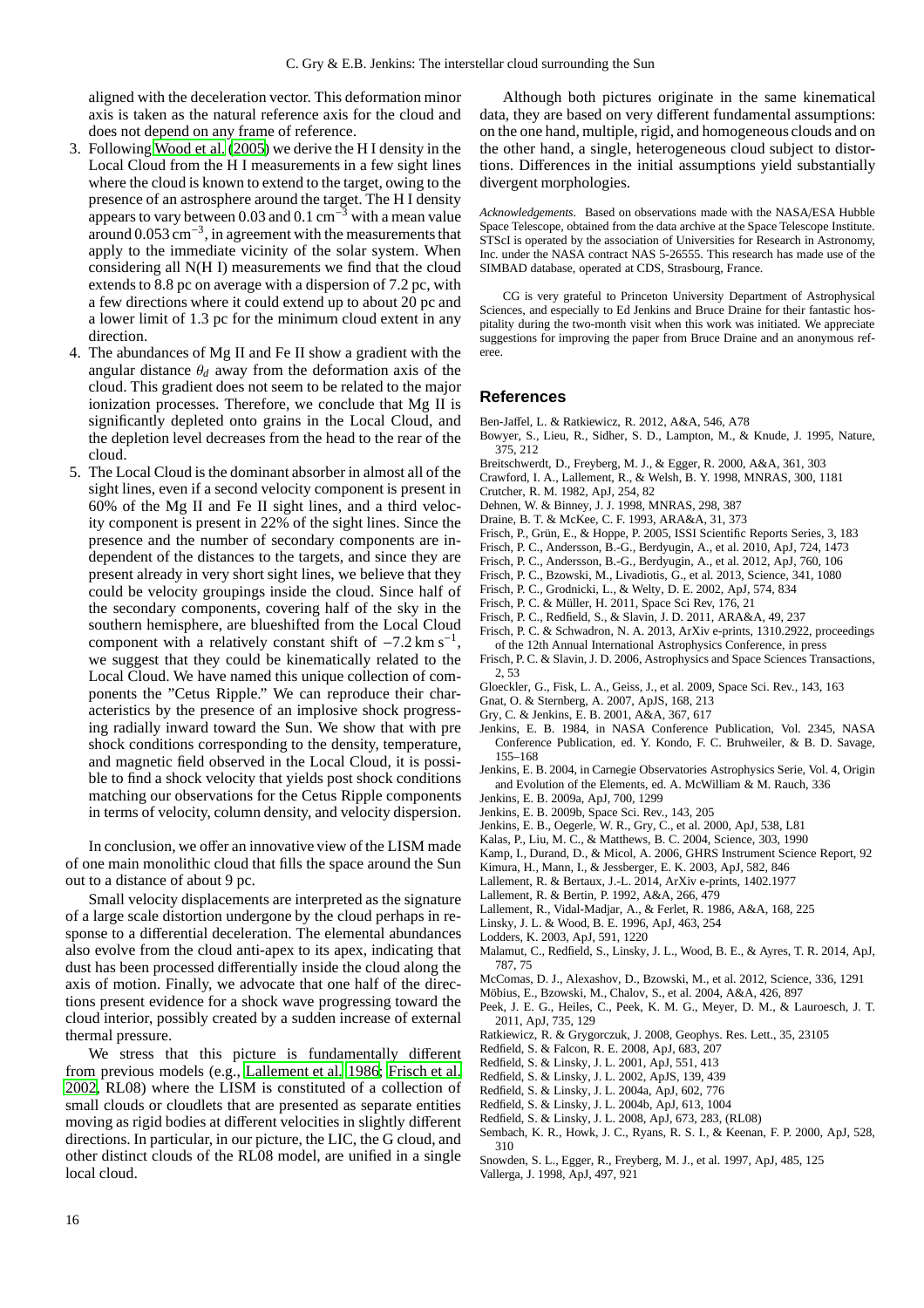aligned with the deceleration vector. This deformation minor axis is taken as the natural reference axis for the cloud and does not depend on any frame of reference.

- 3. Following [Wood et al. \(2005\)](#page-16-0) we derive the H I density in the Local Cloud from the H I measurements in a few sight lines where the cloud is known to extend to the target, owing to the presence of an astrosphere around the target. The H I density appears to vary between 0.03 and 0.1 cm<sup> $-3$ </sup> with a mean value around 0.053 cm−<sup>3</sup> , in agreement with the measurements that apply to the immediate vicinity of the solar system. When considering all N(H I) measurements we find that the cloud extends to 8.8 pc on average with a dispersion of 7.2 pc, with a few directions where it could extend up to about 20 pc and a lower limit of 1.3 pc for the minimum cloud extent in any direction.
- 4. The abundances of Mg II and Fe II show a gradient with the angular distance  $\theta_d$  away from the deformation axis of the cloud. This gradient does not seem to be related to the major ionization processes. Therefore, we conclude that Mg II is significantly depleted onto grains in the Local Cloud, and the depletion level decreases from the head to the rear of the cloud.
- 5. The Local Cloud is the dominant absorber in almost all of the sight lines, even if a second velocity component is present in 60% of the Mg II and Fe II sight lines, and a third velocity component is present in 22% of the sight lines. Since the presence and the number of secondary components are independent of the distances to the targets, and since they are present already in very short sight lines, we believe that they could be velocity groupings inside the cloud. Since half of the secondary components, covering half of the sky in the southern hemisphere, are blueshifted from the Local Cloud component with a relatively constant shift of  $-7.2 \text{ km s}^{-1}$ , we suggest that they could be kinematically related to the Local Cloud. We have named this unique collection of components the "Cetus Ripple." We can reproduce their characteristics by the presence of an implosive shock progressing radially inward toward the Sun. We show that with pre shock conditions corresponding to the density, temperature, and magnetic field observed in the Local Cloud, it is possible to find a shock velocity that yields post shock conditions matching our observations for the Cetus Ripple components in terms of velocity, column density, and velocity dispersion.

In conclusion, we offer an innovative view of the LISM made of one main monolithic cloud that fills the space around the Sun out to a distance of about 9 pc.

Small velocity displacements are interpreted as the signature of a large scale distortion undergone by the cloud perhaps in response to a differential deceleration. The elemental abundances also evolve from the cloud anti-apex to its apex, indicating that dust has been processed differentially inside the cloud along the axis of motion. Finally, we advocate that one half of the directions present evidence for a shock wave progressing toward the cloud interior, possibly created by a sudden increase of external thermal pressure.

We stress that this picture is fundamentally different from previous models (e.g., [Lallement et al. 1986;](#page-15-32) [Frisch et](#page-15-3) al. [2002](#page-15-3), RL08) where the LISM is constituted of a collection of small clouds or cloudlets that are presented as separate entities moving as rigid bodies at different velocities in slightly different directions. In particular, in our picture, the LIC, the G cloud, and other distinct clouds of the RL08 model, are unified in a single local cloud.

Although both pictures originate in the same kinematical data, they are based on very different fundamental assumptions: on the one hand, multiple, rigid, and homogeneous clouds and on the other hand, a single, heterogeneous cloud subject to distortions. Differences in the initial assumptions yield substantially divergent morphologies.

*Acknowledgements.* Based on observations made with the NASA/ESA Hubble Space Telescope, obtained from the data archive at the Space Telescope Institute. STScI is operated by the association of Universities for Research in Astronomy, Inc. under the NASA contract NAS 5-26555. This research has made use of the SIMBAD database, operated at CDS, Strasbourg, France.

CG is very grateful to Princeton University Department of Astrophysical Sciences, and especially to Ed Jenkins and Bruce Draine for their fantastic hospitality during the two-month visit when this work was initiated. We appreciate suggestions for improving the paper from Bruce Draine and an anonymous referee.

#### **References**

- Ben-Jaffel, L. & Ratkiewicz, R. 2012, A&A, 546, A78
- <span id="page-15-37"></span><span id="page-15-35"></span>Bowyer, S., Lieu, R., Sidher, S. D., Lampton, M., & Knude, J. 1995, Nature, 375, 212
- <span id="page-15-30"></span>Breitschwerdt, D., Freyberg, M. J., & Egger, R. 2000, A&A, 361, 303
- <span id="page-15-8"></span>Crawford, I. A., Lallement, R., & Welsh, B. Y. 1998, MNRAS, 300, 1181
- <span id="page-15-1"></span>Crutcher, R. M. 1982, ApJ, 254, 82
- <span id="page-15-16"></span>Dehnen, W. & Binney, J. J. 1998, MNRAS, 298, 387
- <span id="page-15-41"></span>Draine, B. T. & McKee, C. F. 1993, ARA&A, 31, 373
- 
- <span id="page-15-29"></span>Frisch, P., Grün, E., & Hoppe, P. 2005, ISSI Scientific Reports Series, 3, 183
- <span id="page-15-36"></span>Frisch, P. C., Andersson, B.-G., Berdyugin, A., et al. 2010, ApJ, 724, 1473
- <span id="page-15-22"></span>Frisch, P. C., Andersson, B.-G., Berdyugin, A., et al. 2012, ApJ, 760, 106
- <span id="page-15-14"></span>Frisch, P. C., Bzowski, M., Livadiotis, G., et al. 2013, Science, 341, 1080
- <span id="page-15-3"></span>Frisch, P. C., Grodnicki, L., & Welty, D. E. 2002, ApJ, 574, 834
- <span id="page-15-6"></span>Frisch, P. C. & Müller, H. 2011, Space Sci Rev, 176, 21
- <span id="page-15-0"></span>Frisch, P. C., Redfield, S., & Slavin, J. D. 2011, ARA&A, 49, 237
- <span id="page-15-23"></span>Frisch, P. C. & Schwadron, N. A. 2013, ArXiv e-prints, 1310.2922, proceedings of the 12th Annual International Astrophysics Conference, in press
- <span id="page-15-17"></span>Frisch, P. C. & Slavin, J. D. 2006, Astrophysics and Space Sciences Transactions, 2, 53
- <span id="page-15-19"></span>Gloeckler, G., Fisk, L. A., Geiss, J., et al. 2009, Space Sci. Rev., 143, 163
- <span id="page-15-42"></span>Gnat, O. & Sternberg, A. 2007, ApJS, 168, 213
- <span id="page-15-31"></span>Gry, C. & Jenkins, E. B. 2001, A&A, 367, 617
- <span id="page-15-33"></span>Jenkins, E. B. 1984, in NASA Conference Publication, Vol. 2345, NASA Conference Publication, ed. Y. Kondo, F. C. Bruhweiler, & B. D. Savage, 155–168
- <span id="page-15-24"></span>Jenkins, E. B. 2004, in Carnegie Observatories Astrophysics Serie, Vol. 4, Origin and Evolution of the Elements, ed. A. McWilliam & M. Rauch, 336
- <span id="page-15-26"></span>Jenkins, E. B. 2009a, ApJ, 700, 1299
- <span id="page-15-34"></span>Jenkins, E. B. 2009b, Space Sci. Rev., 143, 205
- <span id="page-15-20"></span>Jenkins, E. B., Oegerle, W. R., Gry, C., et al. 2000, ApJ, 538, L81
- <span id="page-15-12"></span>Kalas, P., Liu, M. C., & Matthews, B. C. 2004, Science, 303, 1990
- <span id="page-15-9"></span>Kamp, I., Durand, D., & Micol, A. 2006, GHRS Instrument Science Report, 92
- <span id="page-15-27"></span>Kimura, H., Mann, I., & Jessberger, E. K. 2003, ApJ, 582, 846
- <span id="page-15-15"></span>Lallement, R. & Bertaux, J.-L. 2014, ArXiv e-prints, 1402.1977
- <span id="page-15-2"></span>Lallement, R. & Bertin, P. 1992, A&A, 266, 479
- <span id="page-15-32"></span>Lallement, R., Vidal-Madjar, A., & Ferlet, R. 1986, A&A, 168, 225
- <span id="page-15-18"></span>Linsky, J. L. & Wood, B. E. 1996, ApJ, 463, 254
- <span id="page-15-25"></span>Lodders, K. 2003, ApJ, 591, 1220
- <span id="page-15-45"></span>Malamut, C., Redfield, S., Linsky, J. L., Wood, B. E., & Ayres, T. R. 2014, ApJ, 787, 75
- <span id="page-15-11"></span>McComas, D. J., Alexashov, D., Bzowski, M., et al. 2012, Science, 336, 1291
- <span id="page-15-10"></span>Möbius, E., Bzowski, M., Chalov, S., et al. 2004, A&A, 426, 897
- <span id="page-15-44"></span>Peek, J. E. G., Heiles, C., Peek, K. M. G., Meyer, D. M., & Lauroesch, J. T. 2011, ApJ, 735, 129
- <span id="page-15-38"></span>Ratkiewicz, R. & Grygorczuk, J. 2008, Geophys. Res. Lett., 35, 23105
- <span id="page-15-39"></span>Redfield, S. & Falcon, R. E. 2008, ApJ, 683, 207
- <span id="page-15-13"></span>Redfield, S. & Linsky, J. L. 2001, ApJ, 551, 413
- <span id="page-15-4"></span>Redfield, S. & Linsky, J. L. 2002, ApJS, 139, 439
- <span id="page-15-5"></span>Redfield, S. & Linsky, J. L. 2004a, ApJ, 602, 776
- <span id="page-15-40"></span>Redfield, S. & Linsky, J. L. 2004b, ApJ, 613, 1004
- <span id="page-15-7"></span>Redfield, S. & Linsky, J. L. 2008, ApJ, 673, 283, (RL08)
- <span id="page-15-28"></span>Sembach, K. R., Howk, J. C., Ryans, R. S. I., & Keenan, F. P. 2000, ApJ, 528, 310
- <span id="page-15-43"></span>Snowden, S. L., Egger, R., Freyberg, M. J., et al. 1997, ApJ, 485, 125
- <span id="page-15-21"></span>Vallerga, J. 1998, ApJ, 497, 921